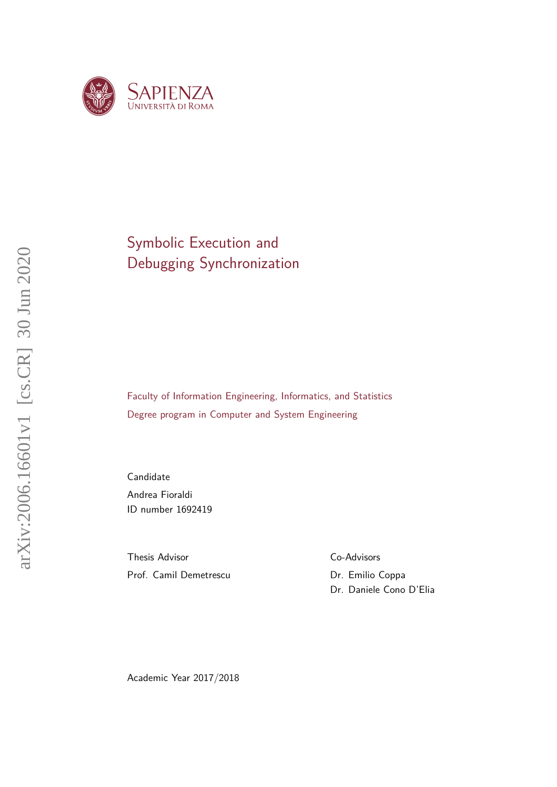

## Symbolic Execution and Debugging Synchronization

Faculty of Information Engineering, Informatics, and Statistics Degree program in Computer and System Engineering

Candidate Andrea Fioraldi ID number 1692419

Thesis Advisor Prof. Camil Demetrescu Co-Advisors

Dr. Emilio Coppa Dr. Daniele Cono D'Elia

Academic Year 2017/2018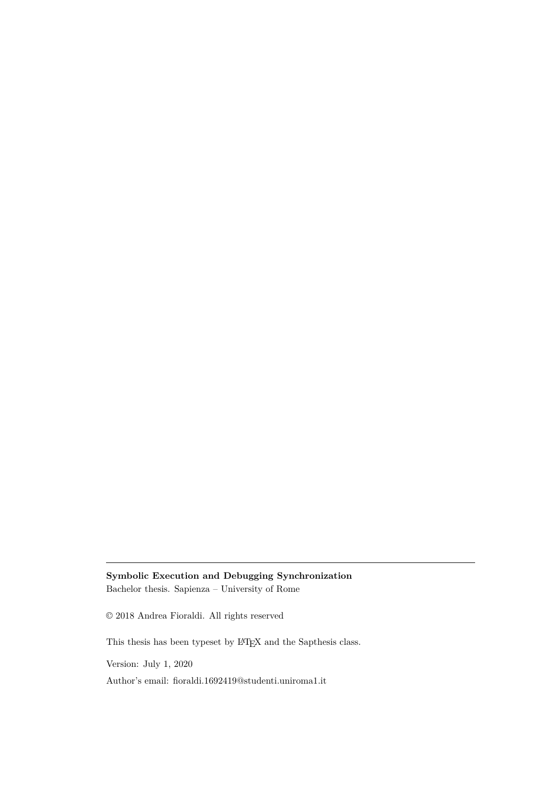### **Symbolic Execution and Debugging Synchronization**

Bachelor thesis. Sapienza – University of Rome

© 2018 Andrea Fioraldi. All rights reserved

This thesis has been typeset by LATEX and the Sapthesis class.

Version: July 1, 2020

Author's email: [fioraldi.1692419@studenti.uniroma1.it](mailto:fioraldi.1692419@studenti.uniroma1.it)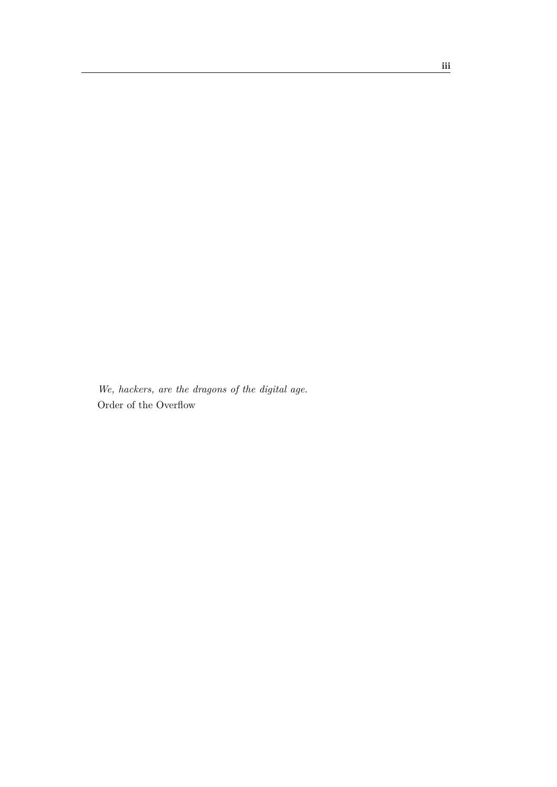*We, hackers, are the dragons of the digital age.* Order of the Overflow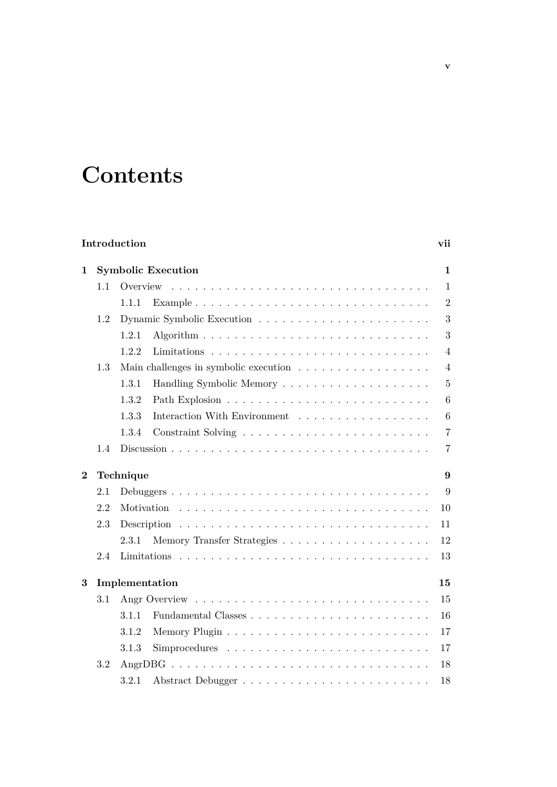# **Contents**

|          |     | Introduction                          | vii            |
|----------|-----|---------------------------------------|----------------|
| 1        |     | <b>Symbolic Execution</b>             | 1              |
|          | 1.1 | Overview                              | $\mathbf{1}$   |
|          |     | 1.1.1                                 | $\overline{2}$ |
|          | 1.2 |                                       | 3              |
|          |     | 1.2.1                                 | 3              |
|          |     | 1.2.2                                 | $\overline{4}$ |
|          | 1.3 |                                       | $\overline{4}$ |
|          |     | 1.3.1                                 | $\overline{5}$ |
|          |     | 1.3.2                                 | 6              |
|          |     | 1.3.3<br>Interaction With Environment | 6              |
|          |     | 1.3.4                                 | $\overline{7}$ |
|          | 1.4 |                                       | $\overline{7}$ |
| $\bf{2}$ |     | Technique                             | 9              |
|          | 2.1 |                                       | 9              |
|          |     |                                       |                |
|          | 2.2 |                                       | 10             |
|          | 2.3 |                                       | 11             |
|          |     | 2.3.1                                 | 12             |
|          | 2.4 |                                       | 13             |
| 3        |     | Implementation                        | 15             |
|          | 3.1 |                                       | 15             |
|          |     | 3.1.1                                 | 16             |
|          |     | 3.1.2                                 | 17             |
|          |     | 3.1.3                                 | 17             |
|          | 3.2 |                                       | 18             |
|          |     | 3.2.1<br>Abstract Debugger            | 18             |

**v**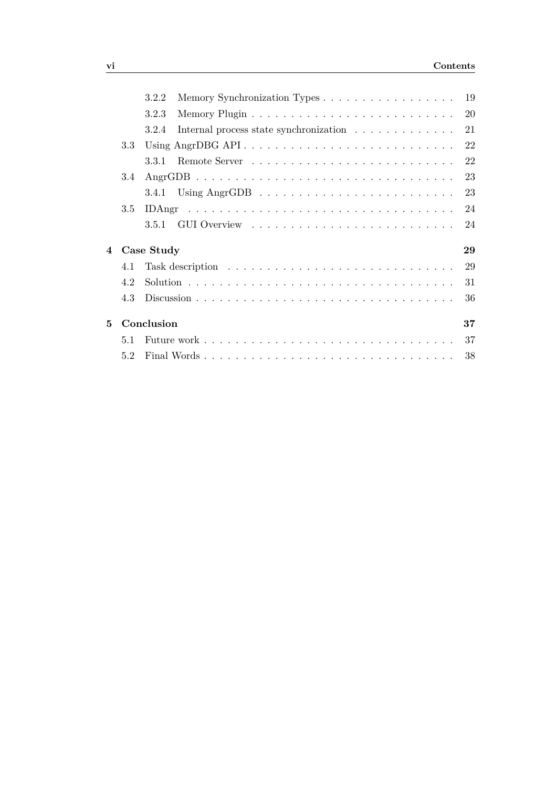|                |                  | 19<br>3.2.2                                           |
|----------------|------------------|-------------------------------------------------------|
|                |                  | 20<br>3.2.3                                           |
|                |                  | 21<br>Internal process state synchronization<br>3.2.4 |
|                | 3.3 <sub>1</sub> | Using AngrDBG API<br>22                               |
|                |                  | 22<br>3.3.1                                           |
|                | 3.4              | 23                                                    |
|                |                  | 23<br>3.4.1                                           |
|                | 3.5              | 24                                                    |
|                |                  | 24<br>3.5.1                                           |
| $\overline{4}$ |                  | 29<br>Case Study                                      |
|                | 4.1              | 29                                                    |
|                | 42               | 31                                                    |
|                | 4.3              | 36                                                    |
| $\mathbf{5}$   |                  | Conclusion<br>37                                      |
|                | 5.1              | 37                                                    |
|                | 5.2              | 38                                                    |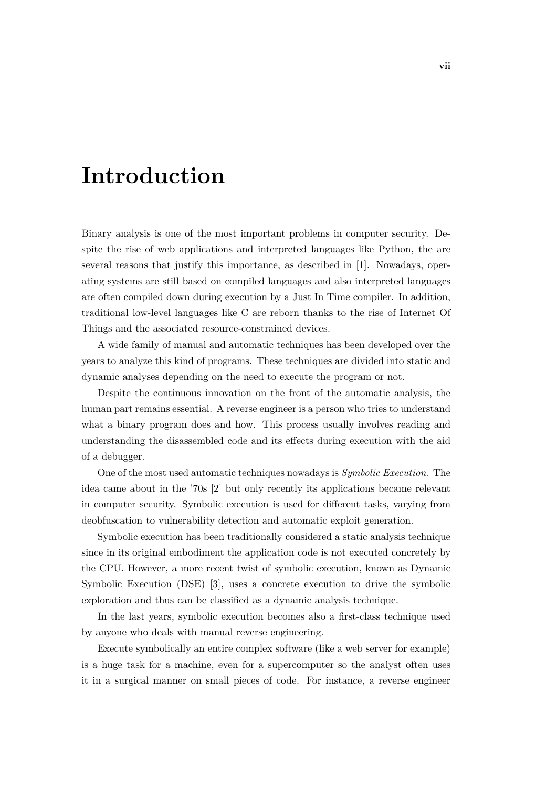# <span id="page-6-0"></span>**Introduction**

Binary analysis is one of the most important problems in computer security. Despite the rise of web applications and interpreted languages like Python, the are several reasons that justify this importance, as described in [\[1\]](#page-46-0). Nowadays, operating systems are still based on compiled languages and also interpreted languages are often compiled down during execution by a Just In Time compiler. In addition, traditional low-level languages like C are reborn thanks to the rise of Internet Of Things and the associated resource-constrained devices.

A wide family of manual and automatic techniques has been developed over the years to analyze this kind of programs. These techniques are divided into static and dynamic analyses depending on the need to execute the program or not.

Despite the continuous innovation on the front of the automatic analysis, the human part remains essential. A reverse engineer is a person who tries to understand what a binary program does and how. This process usually involves reading and understanding the disassembled code and its effects during execution with the aid of a debugger.

One of the most used automatic techniques nowadays is *Symbolic Execution*. The idea came about in the '70s [\[2\]](#page-46-1) but only recently its applications became relevant in computer security. Symbolic execution is used for different tasks, varying from deobfuscation to vulnerability detection and automatic exploit generation.

Symbolic execution has been traditionally considered a static analysis technique since in its original embodiment the application code is not executed concretely by the CPU. However, a more recent twist of symbolic execution, known as Dynamic Symbolic Execution (DSE) [\[3\]](#page-46-2), uses a concrete execution to drive the symbolic exploration and thus can be classified as a dynamic analysis technique.

In the last years, symbolic execution becomes also a first-class technique used by anyone who deals with manual reverse engineering.

Execute symbolically an entire complex software (like a web server for example) is a huge task for a machine, even for a supercomputer so the analyst often uses it in a surgical manner on small pieces of code. For instance, a reverse engineer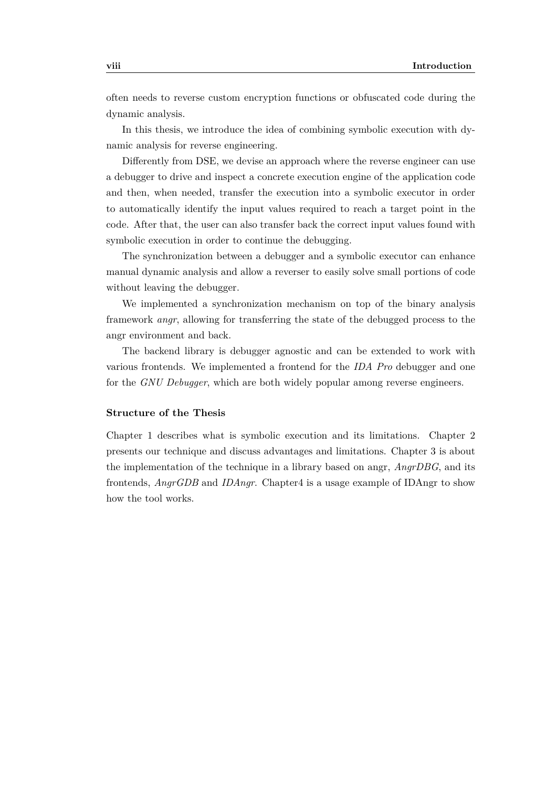often needs to reverse custom encryption functions or obfuscated code during the dynamic analysis.

In this thesis, we introduce the idea of combining symbolic execution with dynamic analysis for reverse engineering.

Differently from DSE, we devise an approach where the reverse engineer can use a debugger to drive and inspect a concrete execution engine of the application code and then, when needed, transfer the execution into a symbolic executor in order to automatically identify the input values required to reach a target point in the code. After that, the user can also transfer back the correct input values found with symbolic execution in order to continue the debugging.

The synchronization between a debugger and a symbolic executor can enhance manual dynamic analysis and allow a reverser to easily solve small portions of code without leaving the debugger.

We implemented a synchronization mechanism on top of the binary analysis framework *angr*, allowing for transferring the state of the debugged process to the angr environment and back.

The backend library is debugger agnostic and can be extended to work with various frontends. We implemented a frontend for the *IDA Pro* debugger and one for the *GNU Debugger*, which are both widely popular among reverse engineers.

#### **Structure of the Thesis**

Chapter 1 describes what is symbolic execution and its limitations. Chapter 2 presents our technique and discuss advantages and limitations. Chapter 3 is about the implementation of the technique in a library based on angr, *AngrDBG*, and its frontends, *AngrGDB* and *IDAngr*. Chapter4 is a usage example of IDAngr to show how the tool works.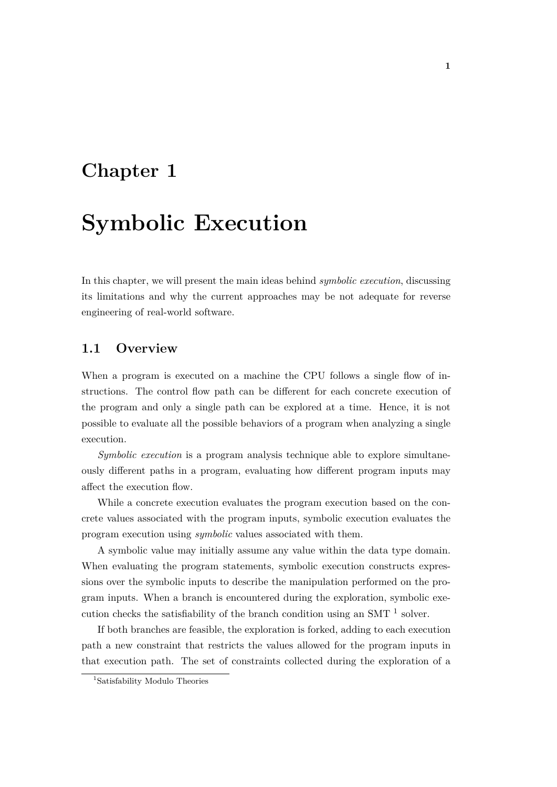## <span id="page-8-0"></span>**Chapter 1**

# **Symbolic Execution**

In this chapter, we will present the main ideas behind *symbolic execution*, discussing its limitations and why the current approaches may be not adequate for reverse engineering of real-world software.

### <span id="page-8-1"></span>**1.1 Overview**

When a program is executed on a machine the CPU follows a single flow of instructions. The control flow path can be different for each concrete execution of the program and only a single path can be explored at a time. Hence, it is not possible to evaluate all the possible behaviors of a program when analyzing a single execution.

*Symbolic execution* is a program analysis technique able to explore simultaneously different paths in a program, evaluating how different program inputs may affect the execution flow.

While a concrete execution evaluates the program execution based on the concrete values associated with the program inputs, symbolic execution evaluates the program execution using *symbolic* values associated with them.

A symbolic value may initially assume any value within the data type domain. When evaluating the program statements, symbolic execution constructs expressions over the symbolic inputs to describe the manipulation performed on the program inputs. When a branch is encountered during the exploration, symbolic execution checks the satisfiability of the branch condition using an SMT  $<sup>1</sup>$  $<sup>1</sup>$  $<sup>1</sup>$  solver.</sup>

If both branches are feasible, the exploration is forked, adding to each execution path a new constraint that restricts the values allowed for the program inputs in that execution path. The set of constraints collected during the exploration of a

<span id="page-8-2"></span><sup>&</sup>lt;sup>1</sup>Satisfability Modulo Theories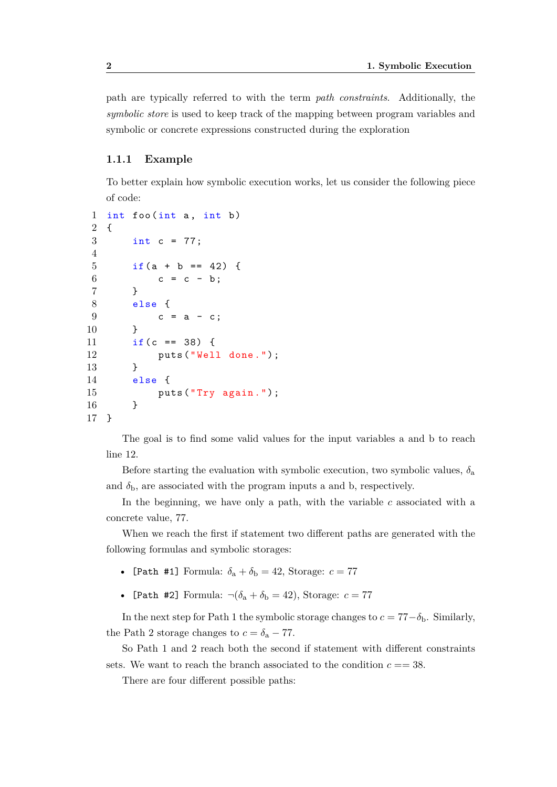path are typically referred to with the term *path constraints*. Additionally, the *symbolic store* is used to keep track of the mapping between program variables and symbolic or concrete expressions constructed during the exploration

#### <span id="page-9-0"></span>**1.1.1 Example**

To better explain how symbolic execution works, let us consider the following piece of code:

```
1 int foo (int a, int b)
2 {
3 int c = 77;
4
5 if (a + b == 42) {
6 c = c - b;
7 }
8 else {
9 c = a - c;
10 }
11 if (c == 38) {
12 puts ("Well done.");
13 }
14 else {
15 puts ("Try again.");
16 }
17 }
```
The goal is to find some valid values for the input variables a and b to reach line 12.

Before starting the evaluation with symbolic execution, two symbolic values,  $\delta$ <sub>a</sub> and  $\delta_b$ , are associated with the program inputs a and b, respectively.

In the beginning, we have only a path, with the variable *c* associated with a concrete value, 77.

When we reach the first if statement two different paths are generated with the following formulas and symbolic storages:

- [Path #1] Formula:  $\delta_a + \delta_b = 42$ , Storage:  $c = 77$
- [Path #2] Formula:  $\neg(\delta_a + \delta_b = 42)$ , Storage:  $c = 77$

In the next step for Path 1 the symbolic storage changes to  $c = 77 - \delta_b$ . Similarly, the Path 2 storage changes to  $c = \delta_a - 77$ .

So Path 1 and 2 reach both the second if statement with different constraints sets. We want to reach the branch associated to the condition  $c = 38$ .

There are four different possible paths: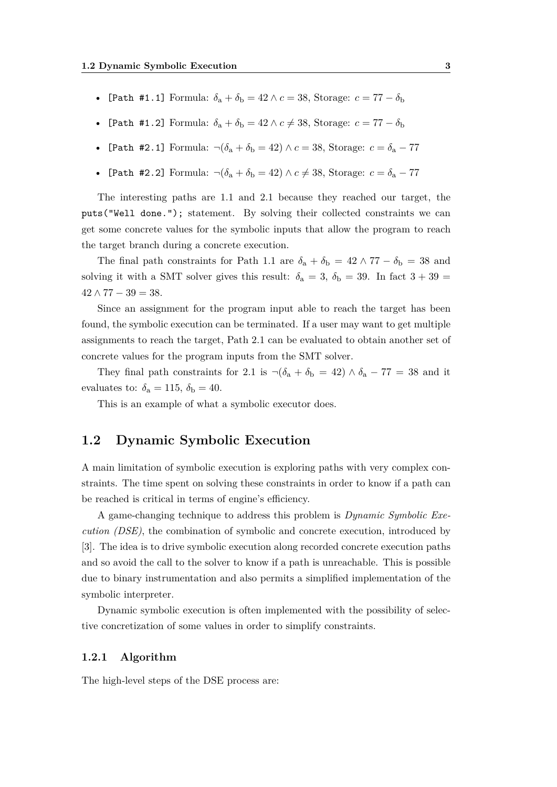- [Path #1.1] Formula:  $\delta_a + \delta_b = 42 \wedge c = 38$ , Storage:  $c = 77 \delta_b$
- [Path #1.2] Formula:  $\delta_a + \delta_b = 42 \wedge c \neq 38$ , Storage:  $c = 77 \delta_b$
- [Path #2.1] Formula:  $\neg(\delta_a + \delta_b = 42) \land c = 38$ , Storage:  $c = \delta_a 77$
- [Path #2.2] Formula:  $\neg(\delta_a + \delta_b = 42) \land c \neq 38$ , Storage:  $c = \delta_a 77$

The interesting paths are 1.1 and 2.1 because they reached our target, the puts("Well done."); statement. By solving their collected constraints we can get some concrete values for the symbolic inputs that allow the program to reach the target branch during a concrete execution.

The final path constraints for Path 1.1 are  $\delta_a + \delta_b = 42 \wedge 77 - \delta_b = 38$  and solving it with a SMT solver gives this result:  $\delta_a = 3$ ,  $\delta_b = 39$ . In fact  $3 + 39 =$  $42 \wedge 77 - 39 = 38.$ 

Since an assignment for the program input able to reach the target has been found, the symbolic execution can be terminated. If a user may want to get multiple assignments to reach the target, Path 2.1 can be evaluated to obtain another set of concrete values for the program inputs from the SMT solver.

They final path constraints for 2.1 is  $\neg(\delta_a + \delta_b = 42) \wedge \delta_a - 77 = 38$  and it evaluates to:  $\delta_a = 115$ ,  $\delta_b = 40$ .

This is an example of what a symbolic executor does.

## <span id="page-10-0"></span>**1.2 Dynamic Symbolic Execution**

A main limitation of symbolic execution is exploring paths with very complex constraints. The time spent on solving these constraints in order to know if a path can be reached is critical in terms of engine's efficiency.

A game-changing technique to address this problem is *Dynamic Symbolic Execution (DSE)*, the combination of symbolic and concrete execution, introduced by [\[3\]](#page-46-2). The idea is to drive symbolic execution along recorded concrete execution paths and so avoid the call to the solver to know if a path is unreachable. This is possible due to binary instrumentation and also permits a simplified implementation of the symbolic interpreter.

Dynamic symbolic execution is often implemented with the possibility of selective concretization of some values in order to simplify constraints.

#### <span id="page-10-1"></span>**1.2.1 Algorithm**

The high-level steps of the DSE process are: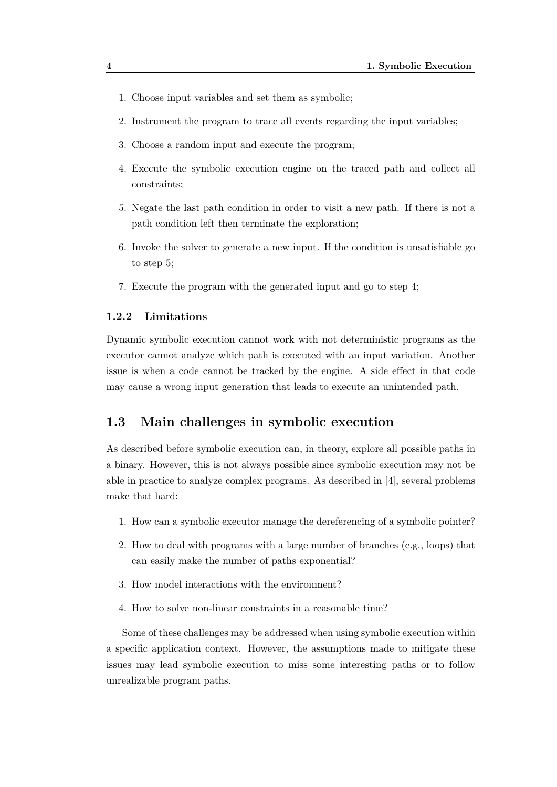- 1. Choose input variables and set them as symbolic;
- 2. Instrument the program to trace all events regarding the input variables;
- 3. Choose a random input and execute the program;
- 4. Execute the symbolic execution engine on the traced path and collect all constraints;
- 5. Negate the last path condition in order to visit a new path. If there is not a path condition left then terminate the exploration;
- 6. Invoke the solver to generate a new input. If the condition is unsatisfiable go to step 5;
- 7. Execute the program with the generated input and go to step 4;

#### <span id="page-11-0"></span>**1.2.2 Limitations**

Dynamic symbolic execution cannot work with not deterministic programs as the executor cannot analyze which path is executed with an input variation. Another issue is when a code cannot be tracked by the engine. A side effect in that code may cause a wrong input generation that leads to execute an unintended path.

### <span id="page-11-1"></span>**1.3 Main challenges in symbolic execution**

As described before symbolic execution can, in theory, explore all possible paths in a binary. However, this is not always possible since symbolic execution may not be able in practice to analyze complex programs. As described in [\[4\]](#page-46-3), several problems make that hard:

- 1. How can a symbolic executor manage the dereferencing of a symbolic pointer?
- 2. How to deal with programs with a large number of branches (e.g., loops) that can easily make the number of paths exponential?
- 3. How model interactions with the environment?
- 4. How to solve non-linear constraints in a reasonable time?

Some of these challenges may be addressed when using symbolic execution within a specific application context. However, the assumptions made to mitigate these issues may lead symbolic execution to miss some interesting paths or to follow unrealizable program paths.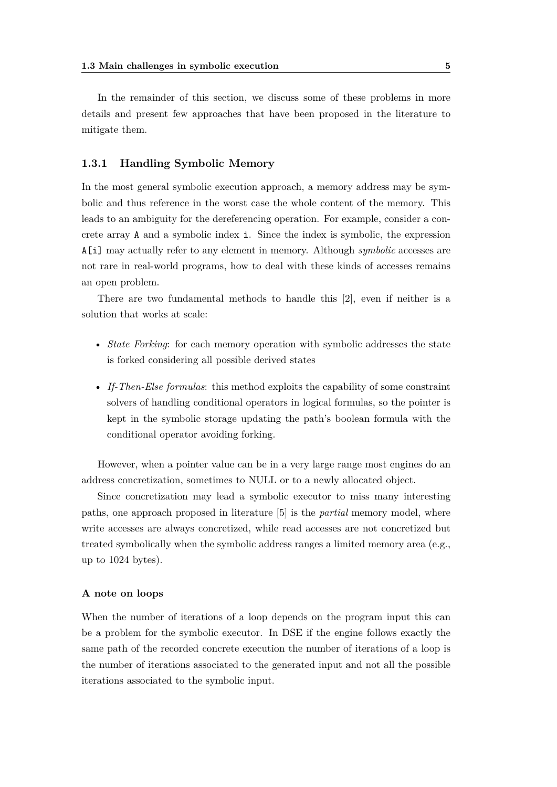In the remainder of this section, we discuss some of these problems in more details and present few approaches that have been proposed in the literature to mitigate them.

#### <span id="page-12-0"></span>**1.3.1 Handling Symbolic Memory**

In the most general symbolic execution approach, a memory address may be symbolic and thus reference in the worst case the whole content of the memory. This leads to an ambiguity for the dereferencing operation. For example, consider a concrete array A and a symbolic index i. Since the index is symbolic, the expression A[i] may actually refer to any element in memory. Although *symbolic* accesses are not rare in real-world programs, how to deal with these kinds of accesses remains an open problem.

There are two fundamental methods to handle this [\[2\]](#page-46-1), even if neither is a solution that works at scale:

- *State Forking*: for each memory operation with symbolic addresses the state is forked considering all possible derived states
- *If-Then-Else formulas*: this method exploits the capability of some constraint solvers of handling conditional operators in logical formulas, so the pointer is kept in the symbolic storage updating the path's boolean formula with the conditional operator avoiding forking.

However, when a pointer value can be in a very large range most engines do an address concretization, sometimes to NULL or to a newly allocated object.

Since concretization may lead a symbolic executor to miss many interesting paths, one approach proposed in literature [\[5\]](#page-46-4) is the *partial* memory model, where write accesses are always concretized, while read accesses are not concretized but treated symbolically when the symbolic address ranges a limited memory area (e.g., up to 1024 bytes).

#### **A note on loops**

When the number of iterations of a loop depends on the program input this can be a problem for the symbolic executor. In DSE if the engine follows exactly the same path of the recorded concrete execution the number of iterations of a loop is the number of iterations associated to the generated input and not all the possible iterations associated to the symbolic input.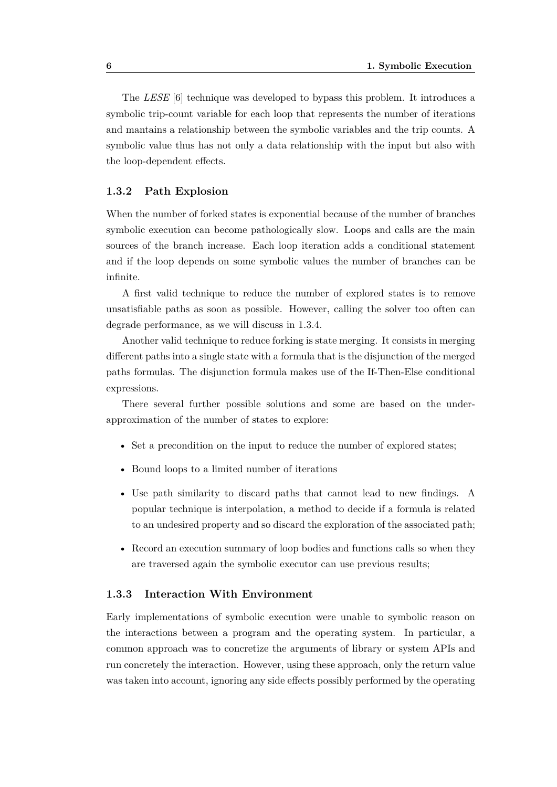The *LESE* [\[6\]](#page-46-5) technique was developed to bypass this problem. It introduces a symbolic trip-count variable for each loop that represents the number of iterations and mantains a relationship between the symbolic variables and the trip counts. A symbolic value thus has not only a data relationship with the input but also with the loop-dependent effects.

#### <span id="page-13-0"></span>**1.3.2 Path Explosion**

When the number of forked states is exponential because of the number of branches symbolic execution can become pathologically slow. Loops and calls are the main sources of the branch increase. Each loop iteration adds a conditional statement and if the loop depends on some symbolic values the number of branches can be infinite.

A first valid technique to reduce the number of explored states is to remove unsatisfiable paths as soon as possible. However, calling the solver too often can degrade performance, as we will discuss in [1.3.4.](#page-14-0)

Another valid technique to reduce forking is state merging. It consists in merging different paths into a single state with a formula that is the disjunction of the merged paths formulas. The disjunction formula makes use of the If-Then-Else conditional expressions.

There several further possible solutions and some are based on the underapproximation of the number of states to explore:

- Set a precondition on the input to reduce the number of explored states:
- Bound loops to a limited number of iterations
- Use path similarity to discard paths that cannot lead to new findings. A popular technique is interpolation, a method to decide if a formula is related to an undesired property and so discard the exploration of the associated path;
- Record an execution summary of loop bodies and functions calls so when they are traversed again the symbolic executor can use previous results;

#### <span id="page-13-1"></span>**1.3.3 Interaction With Environment**

Early implementations of symbolic execution were unable to symbolic reason on the interactions between a program and the operating system. In particular, a common approach was to concretize the arguments of library or system APIs and run concretely the interaction. However, using these approach, only the return value was taken into account, ignoring any side effects possibly performed by the operating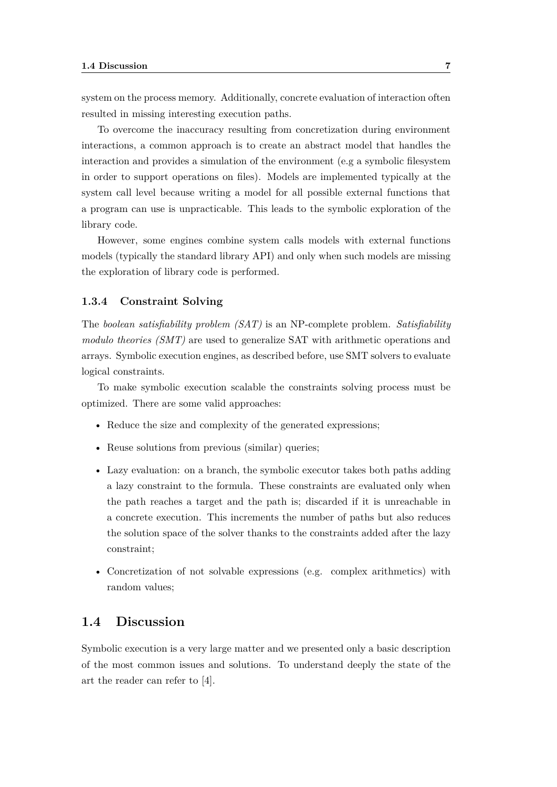system on the process memory. Additionally, concrete evaluation of interaction often resulted in missing interesting execution paths.

To overcome the inaccuracy resulting from concretization during environment interactions, a common approach is to create an abstract model that handles the interaction and provides a simulation of the environment (e.g a symbolic filesystem in order to support operations on files). Models are implemented typically at the system call level because writing a model for all possible external functions that a program can use is unpracticable. This leads to the symbolic exploration of the library code.

However, some engines combine system calls models with external functions models (typically the standard library API) and only when such models are missing the exploration of library code is performed.

#### <span id="page-14-0"></span>**1.3.4 Constraint Solving**

The *boolean satisfiability problem (SAT)* is an NP-complete problem. *Satisfiability modulo theories (SMT)* are used to generalize SAT with arithmetic operations and arrays. Symbolic execution engines, as described before, use SMT solvers to evaluate logical constraints.

To make symbolic execution scalable the constraints solving process must be optimized. There are some valid approaches:

- Reduce the size and complexity of the generated expressions;
- Reuse solutions from previous (similar) queries:
- Lazy evaluation: on a branch, the symbolic executor takes both paths adding a lazy constraint to the formula. These constraints are evaluated only when the path reaches a target and the path is; discarded if it is unreachable in a concrete execution. This increments the number of paths but also reduces the solution space of the solver thanks to the constraints added after the lazy constraint;
- Concretization of not solvable expressions (e.g. complex arithmetics) with random values;

### <span id="page-14-1"></span>**1.4 Discussion**

Symbolic execution is a very large matter and we presented only a basic description of the most common issues and solutions. To understand deeply the state of the art the reader can refer to [\[4\]](#page-46-3).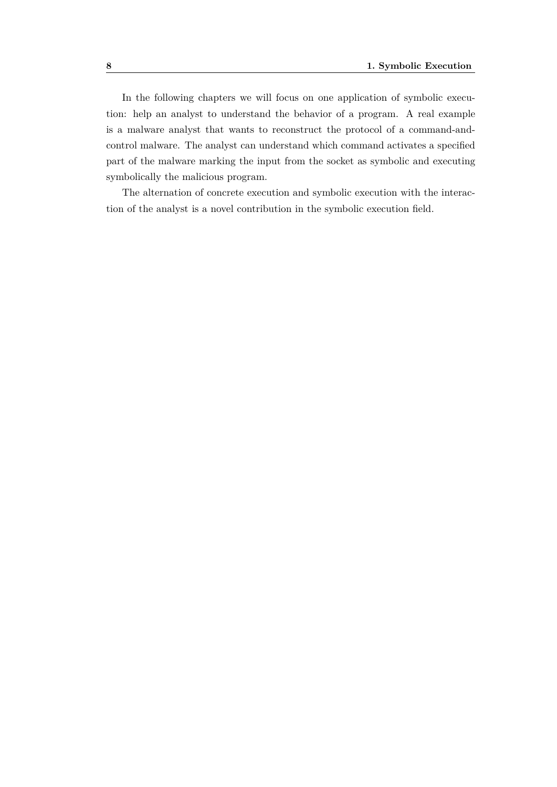In the following chapters we will focus on one application of symbolic execution: help an analyst to understand the behavior of a program. A real example is a malware analyst that wants to reconstruct the protocol of a command-andcontrol malware. The analyst can understand which command activates a specified part of the malware marking the input from the socket as symbolic and executing symbolically the malicious program.

The alternation of concrete execution and symbolic execution with the interaction of the analyst is a novel contribution in the symbolic execution field.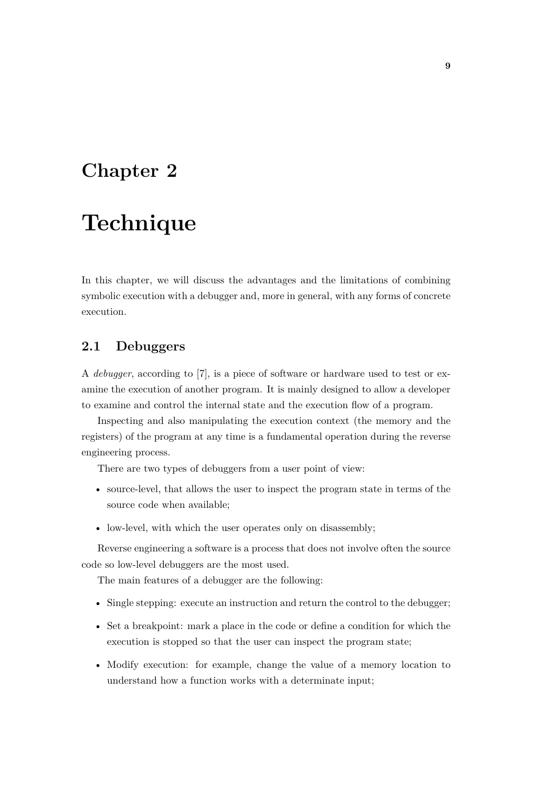## <span id="page-16-0"></span>**Chapter 2**

## **Technique**

In this chapter, we will discuss the advantages and the limitations of combining symbolic execution with a debugger and, more in general, with any forms of concrete execution.

## <span id="page-16-1"></span>**2.1 Debuggers**

A *debugger*, according to [\[7\]](#page-46-6), is a piece of software or hardware used to test or examine the execution of another program. It is mainly designed to allow a developer to examine and control the internal state and the execution flow of a program.

Inspecting and also manipulating the execution context (the memory and the registers) of the program at any time is a fundamental operation during the reverse engineering process.

There are two types of debuggers from a user point of view:

- source-level, that allows the user to inspect the program state in terms of the source code when available;
- low-level, with which the user operates only on disassembly;

Reverse engineering a software is a process that does not involve often the source code so low-level debuggers are the most used.

The main features of a debugger are the following:

- Single stepping: execute an instruction and return the control to the debugger;
- Set a breakpoint: mark a place in the code or define a condition for which the execution is stopped so that the user can inspect the program state;
- Modify execution: for example, change the value of a memory location to understand how a function works with a determinate input;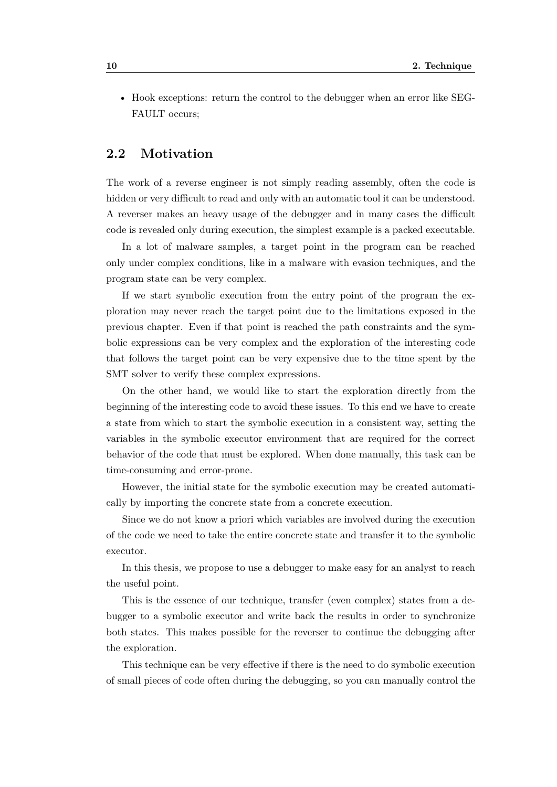• Hook exceptions: return the control to the debugger when an error like SEG-FAULT occurs;

## <span id="page-17-0"></span>**2.2 Motivation**

The work of a reverse engineer is not simply reading assembly, often the code is hidden or very difficult to read and only with an automatic tool it can be understood. A reverser makes an heavy usage of the debugger and in many cases the difficult code is revealed only during execution, the simplest example is a packed executable.

In a lot of malware samples, a target point in the program can be reached only under complex conditions, like in a malware with evasion techniques, and the program state can be very complex.

If we start symbolic execution from the entry point of the program the exploration may never reach the target point due to the limitations exposed in the previous chapter. Even if that point is reached the path constraints and the symbolic expressions can be very complex and the exploration of the interesting code that follows the target point can be very expensive due to the time spent by the SMT solver to verify these complex expressions.

On the other hand, we would like to start the exploration directly from the beginning of the interesting code to avoid these issues. To this end we have to create a state from which to start the symbolic execution in a consistent way, setting the variables in the symbolic executor environment that are required for the correct behavior of the code that must be explored. When done manually, this task can be time-consuming and error-prone.

However, the initial state for the symbolic execution may be created automatically by importing the concrete state from a concrete execution.

Since we do not know a priori which variables are involved during the execution of the code we need to take the entire concrete state and transfer it to the symbolic executor.

In this thesis, we propose to use a debugger to make easy for an analyst to reach the useful point.

This is the essence of our technique, transfer (even complex) states from a debugger to a symbolic executor and write back the results in order to synchronize both states. This makes possible for the reverser to continue the debugging after the exploration.

This technique can be very effective if there is the need to do symbolic execution of small pieces of code often during the debugging, so you can manually control the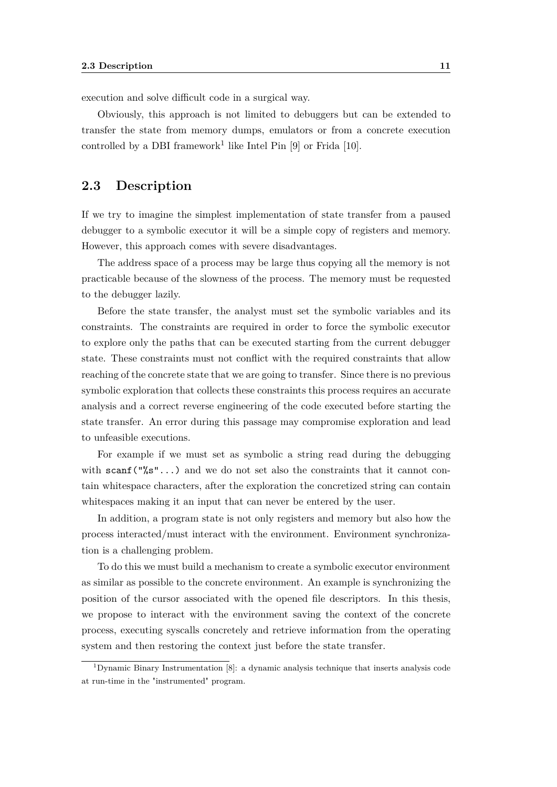execution and solve difficult code in a surgical way.

Obviously, this approach is not limited to debuggers but can be extended to transfer the state from memory dumps, emulators or from a concrete execution controlled by a DBI framework<sup>[1](#page-18-1)</sup> like Intel Pin  $[9]$  or Frida  $[10]$ .

### <span id="page-18-0"></span>**2.3 Description**

If we try to imagine the simplest implementation of state transfer from a paused debugger to a symbolic executor it will be a simple copy of registers and memory. However, this approach comes with severe disadvantages.

The address space of a process may be large thus copying all the memory is not practicable because of the slowness of the process. The memory must be requested to the debugger lazily.

Before the state transfer, the analyst must set the symbolic variables and its constraints. The constraints are required in order to force the symbolic executor to explore only the paths that can be executed starting from the current debugger state. These constraints must not conflict with the required constraints that allow reaching of the concrete state that we are going to transfer. Since there is no previous symbolic exploration that collects these constraints this process requires an accurate analysis and a correct reverse engineering of the code executed before starting the state transfer. An error during this passage may compromise exploration and lead to unfeasible executions.

For example if we must set as symbolic a string read during the debugging with scanf( $\sqrt{\ }s''$ ...) and we do not set also the constraints that it cannot contain whitespace characters, after the exploration the concretized string can contain whitespaces making it an input that can never be entered by the user.

In addition, a program state is not only registers and memory but also how the process interacted/must interact with the environment. Environment synchronization is a challenging problem.

To do this we must build a mechanism to create a symbolic executor environment as similar as possible to the concrete environment. An example is synchronizing the position of the cursor associated with the opened file descriptors. In this thesis, we propose to interact with the environment saving the context of the concrete process, executing syscalls concretely and retrieve information from the operating system and then restoring the context just before the state transfer.

<span id="page-18-1"></span><sup>&</sup>lt;sup>1</sup>Dynamic Binary Instrumentation [\[8\]](#page-46-8): a dynamic analysis technique that inserts analysis code at run-time in the "instrumented" program.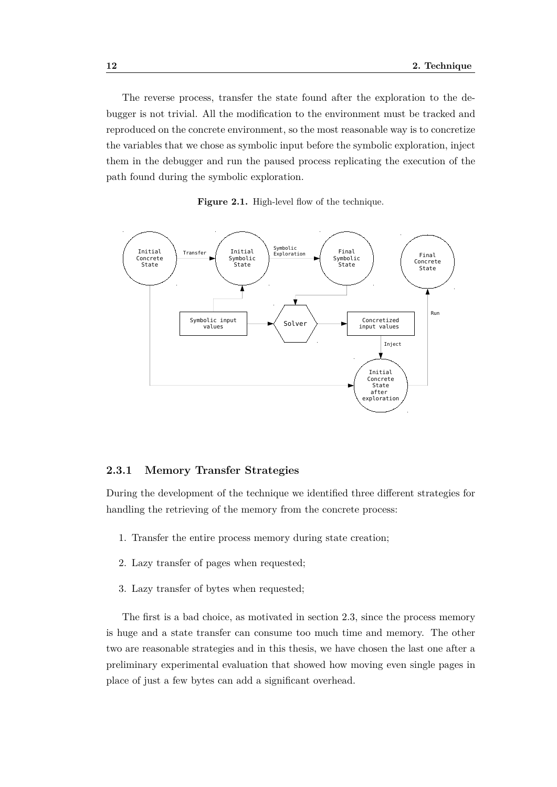The reverse process, transfer the state found after the exploration to the debugger is not trivial. All the modification to the environment must be tracked and reproduced on the concrete environment, so the most reasonable way is to concretize the variables that we chose as symbolic input before the symbolic exploration, inject them in the debugger and run the paused process replicating the execution of the path found during the symbolic exploration.

Figure 2.1. High-level flow of the technique.



#### <span id="page-19-0"></span>**2.3.1 Memory Transfer Strategies**

During the development of the technique we identified three different strategies for handling the retrieving of the memory from the concrete process:

- 1. Transfer the entire process memory during state creation;
- 2. Lazy transfer of pages when requested;
- 3. Lazy transfer of bytes when requested;

The first is a bad choice, as motivated in section [2.3,](#page-18-0) since the process memory is huge and a state transfer can consume too much time and memory. The other two are reasonable strategies and in this thesis, we have chosen the last one after a preliminary experimental evaluation that showed how moving even single pages in place of just a few bytes can add a significant overhead.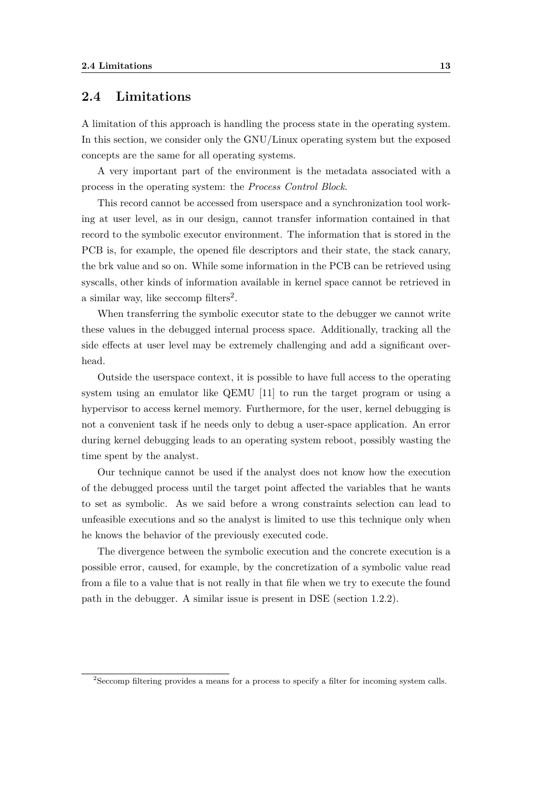### <span id="page-20-0"></span>**2.4 Limitations**

A limitation of this approach is handling the process state in the operating system. In this section, we consider only the GNU/Linux operating system but the exposed concepts are the same for all operating systems.

A very important part of the environment is the metadata associated with a process in the operating system: the *Process Control Block*.

This record cannot be accessed from userspace and a synchronization tool working at user level, as in our design, cannot transfer information contained in that record to the symbolic executor environment. The information that is stored in the PCB is, for example, the opened file descriptors and their state, the stack canary, the brk value and so on. While some information in the PCB can be retrieved using syscalls, other kinds of information available in kernel space cannot be retrieved in a similar way, like seccomp filters<sup>[2](#page-20-1)</sup>.

When transferring the symbolic executor state to the debugger we cannot write these values in the debugged internal process space. Additionally, tracking all the side effects at user level may be extremely challenging and add a significant overhead.

Outside the userspace context, it is possible to have full access to the operating system using an emulator like QEMU [\[11\]](#page-47-1) to run the target program or using a hypervisor to access kernel memory. Furthermore, for the user, kernel debugging is not a convenient task if he needs only to debug a user-space application. An error during kernel debugging leads to an operating system reboot, possibly wasting the time spent by the analyst.

Our technique cannot be used if the analyst does not know how the execution of the debugged process until the target point affected the variables that he wants to set as symbolic. As we said before a wrong constraints selection can lead to unfeasible executions and so the analyst is limited to use this technique only when he knows the behavior of the previously executed code.

The divergence between the symbolic execution and the concrete execution is a possible error, caused, for example, by the concretization of a symbolic value read from a file to a value that is not really in that file when we try to execute the found path in the debugger. A similar issue is present in DSE (section [1.2.2\)](#page-11-0).

<span id="page-20-1"></span><sup>2</sup>Seccomp filtering provides a means for a process to specify a filter for incoming system calls.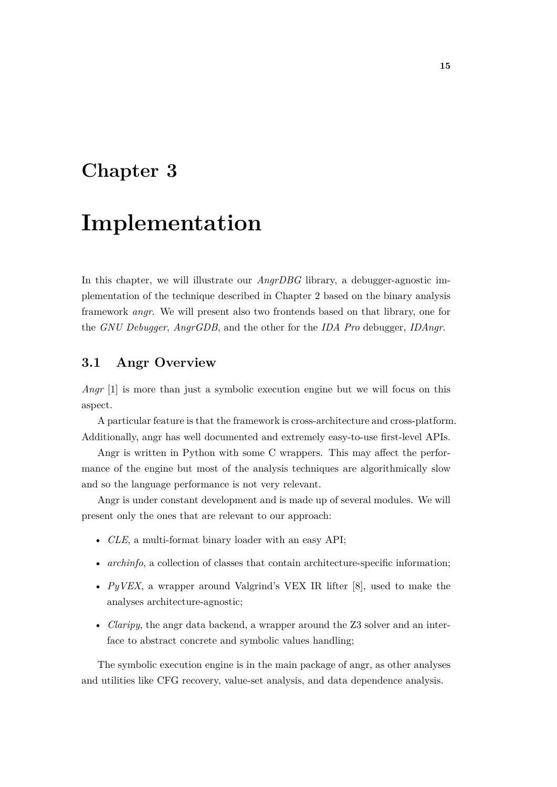## <span id="page-22-0"></span>**Chapter 3**

## **Implementation**

In this chapter, we will illustrate our *AngrDBG* library, a debugger-agnostic implementation of the technique described in Chapter 2 based on the binary analysis framework *angr*. We will present also two frontends based on that library, one for the *GNU Debugger*, *AngrGDB*, and the other for the *IDA Pro* debugger, *IDAngr*.

## <span id="page-22-1"></span>**3.1 Angr Overview**

*Angr* [\[1\]](#page-46-0) is more than just a symbolic execution engine but we will focus on this aspect.

A particular feature is that the framework is cross-architecture and cross-platform. Additionally, angr has well documented and extremely easy-to-use first-level APIs.

Angr is written in Python with some C wrappers. This may affect the performance of the engine but most of the analysis techniques are algorithmically slow and so the language performance is not very relevant.

Angr is under constant development and is made up of several modules. We will present only the ones that are relevant to our approach:

- *CLE*, a multi-format binary loader with an easy API;
- *archinfo*, a collection of classes that contain architecture-specific information;
- *PyVEX*, a wrapper around Valgrind's VEX IR lifter [\[8\]](#page-46-8), used to make the analyses architecture-agnostic;
- *Claripy*, the angr data backend, a wrapper around the Z3 solver and an interface to abstract concrete and symbolic values handling;

The symbolic execution engine is in the main package of angr, as other analyses and utilities like CFG recovery, value-set analysis, and data dependence analysis.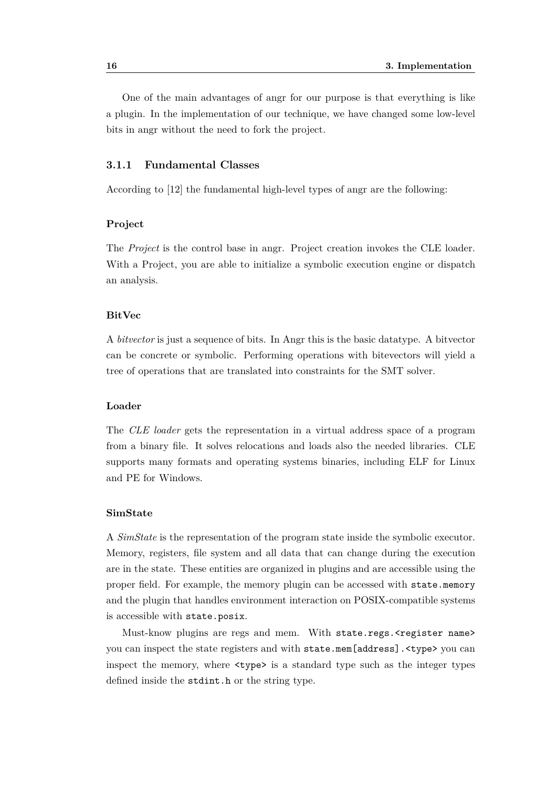One of the main advantages of angr for our purpose is that everything is like a plugin. In the implementation of our technique, we have changed some low-level bits in angr without the need to fork the project.

#### <span id="page-23-0"></span>**3.1.1 Fundamental Classes**

According to [\[12\]](#page-47-2) the fundamental high-level types of angr are the following:

#### **Project**

The *Project* is the control base in angr. Project creation invokes the CLE loader. With a Project, you are able to initialize a symbolic execution engine or dispatch an analysis.

#### **BitVec**

A *bitvector* is just a sequence of bits. In Angr this is the basic datatype. A bitvector can be concrete or symbolic. Performing operations with bitevectors will yield a tree of operations that are translated into constraints for the SMT solver.

#### **Loader**

The *CLE loader* gets the representation in a virtual address space of a program from a binary file. It solves relocations and loads also the needed libraries. CLE supports many formats and operating systems binaries, including ELF for Linux and PE for Windows.

#### **SimState**

A *SimState* is the representation of the program state inside the symbolic executor. Memory, registers, file system and all data that can change during the execution are in the state. These entities are organized in plugins and are accessible using the proper field. For example, the memory plugin can be accessed with state.memory and the plugin that handles environment interaction on POSIX-compatible systems is accessible with state.posix.

Must-know plugins are regs and mem. With state.regs.<register name> you can inspect the state registers and with state.mem [address]. <type> you can inspect the memory, where <type> is a standard type such as the integer types defined inside the stdint.h or the string type.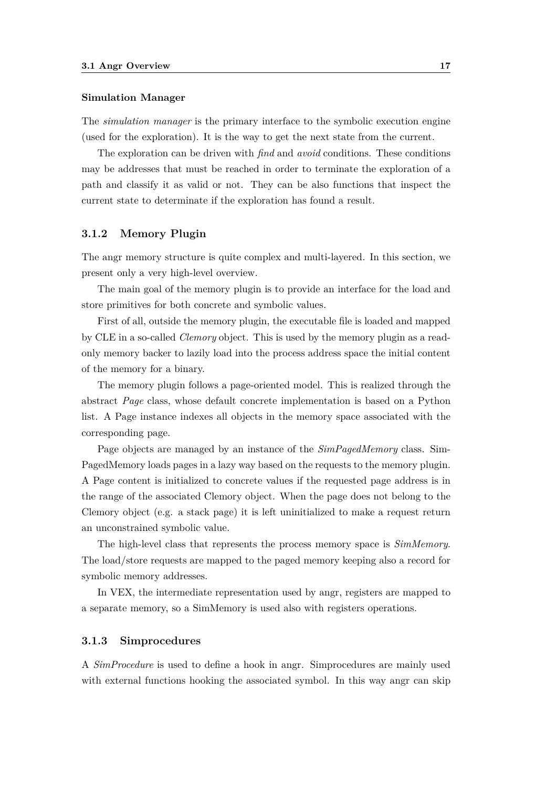#### **Simulation Manager**

The *simulation manager* is the primary interface to the symbolic execution engine (used for the exploration). It is the way to get the next state from the current.

The exploration can be driven with *find* and *avoid* conditions. These conditions may be addresses that must be reached in order to terminate the exploration of a path and classify it as valid or not. They can be also functions that inspect the current state to determinate if the exploration has found a result.

#### <span id="page-24-0"></span>**3.1.2 Memory Plugin**

The angr memory structure is quite complex and multi-layered. In this section, we present only a very high-level overview.

The main goal of the memory plugin is to provide an interface for the load and store primitives for both concrete and symbolic values.

First of all, outside the memory plugin, the executable file is loaded and mapped by CLE in a so-called *Clemory* object. This is used by the memory plugin as a readonly memory backer to lazily load into the process address space the initial content of the memory for a binary.

The memory plugin follows a page-oriented model. This is realized through the abstract *Page* class, whose default concrete implementation is based on a Python list. A Page instance indexes all objects in the memory space associated with the corresponding page.

Page objects are managed by an instance of the *SimPagedMemory* class. Sim-PagedMemory loads pages in a lazy way based on the requests to the memory plugin. A Page content is initialized to concrete values if the requested page address is in the range of the associated Clemory object. When the page does not belong to the Clemory object (e.g. a stack page) it is left uninitialized to make a request return an unconstrained symbolic value.

The high-level class that represents the process memory space is *SimMemory*. The load/store requests are mapped to the paged memory keeping also a record for symbolic memory addresses.

In VEX, the intermediate representation used by angr, registers are mapped to a separate memory, so a SimMemory is used also with registers operations.

#### <span id="page-24-1"></span>**3.1.3 Simprocedures**

A *SimProcedure* is used to define a hook in angr. Simprocedures are mainly used with external functions hooking the associated symbol. In this way angr can skip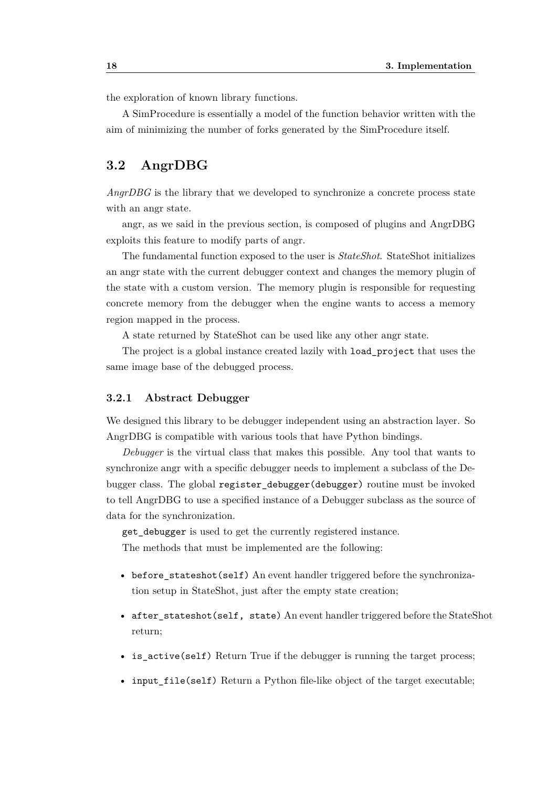the exploration of known library functions.

A SimProcedure is essentially a model of the function behavior written with the aim of minimizing the number of forks generated by the SimProcedure itself.

### <span id="page-25-0"></span>**3.2 AngrDBG**

*AngrDBG* is the library that we developed to synchronize a concrete process state with an angr state.

angr, as we said in the previous section, is composed of plugins and AngrDBG exploits this feature to modify parts of angr.

The fundamental function exposed to the user is *StateShot*. StateShot initializes an angr state with the current debugger context and changes the memory plugin of the state with a custom version. The memory plugin is responsible for requesting concrete memory from the debugger when the engine wants to access a memory region mapped in the process.

A state returned by StateShot can be used like any other angr state.

The project is a global instance created lazily with load\_project that uses the same image base of the debugged process.

#### <span id="page-25-1"></span>**3.2.1 Abstract Debugger**

We designed this library to be debugger independent using an abstraction layer. So AngrDBG is compatible with various tools that have Python bindings.

*Debugger* is the virtual class that makes this possible. Any tool that wants to synchronize angr with a specific debugger needs to implement a subclass of the Debugger class. The global register\_debugger(debugger) routine must be invoked to tell AngrDBG to use a specified instance of a Debugger subclass as the source of data for the synchronization.

get debugger is used to get the currently registered instance.

The methods that must be implemented are the following:

- before stateshot(self) An event handler triggered before the synchronization setup in StateShot, just after the empty state creation;
- after\_stateshot(self, state) An event handler triggered before the StateShot return;
- is\_active(self) Return True if the debugger is running the target process;
- input\_file(self) Return a Python file-like object of the target executable;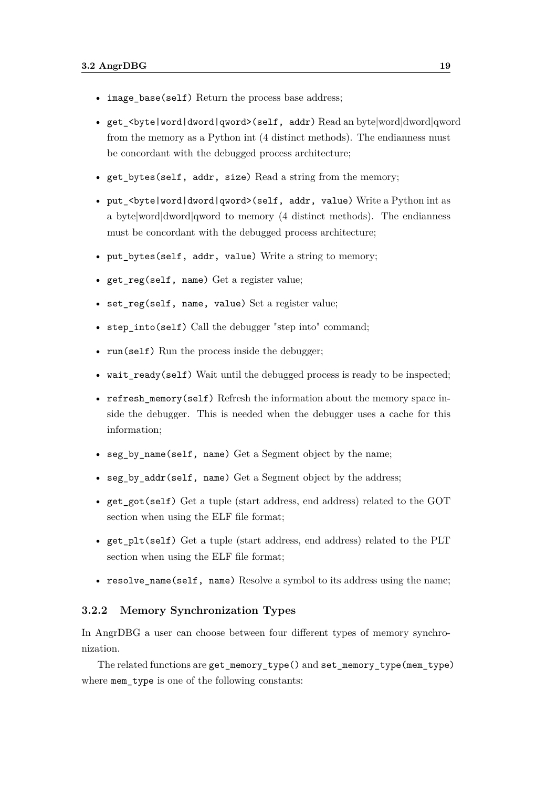- image base(self) Return the process base address;
- get\_<byte|word|dword|qword>(self, addr) Read an byte|word|dword|qword from the memory as a Python int (4 distinct methods). The endianness must be concordant with the debugged process architecture;
- get\_bytes(self, addr, size) Read a string from the memory;
- put\_<br/>byte|word|dword|qword>(self, addr, value) Write a Python int as a byte|word|dword|qword to memory  $(4 \text{ distinct methods}).$  The endianness must be concordant with the debugged process architecture;
- put\_bytes(self, addr, value) Write a string to memory;
- get\_reg(self, name) Get a register value;
- set reg(self, name, value) Set a register value;
- step\_into(self) Call the debugger "step into" command;
- run(self) Run the process inside the debugger;
- wait ready(self) Wait until the debugged process is ready to be inspected;
- refresh memory(self) Refresh the information about the memory space inside the debugger. This is needed when the debugger uses a cache for this information;
- seg\_by\_name(self, name) Get a Segment object by the name;
- seg by  $addr(self, name)$  Get a Segment object by the address;
- get\_got(self) Get a tuple (start address, end address) related to the GOT section when using the ELF file format;
- get plt(self) Get a tuple (start address, end address) related to the PLT section when using the ELF file format;
- resolve\_name(self, name) Resolve a symbol to its address using the name;

#### <span id="page-26-0"></span>**3.2.2 Memory Synchronization Types**

In AngrDBG a user can choose between four different types of memory synchronization.

The related functions are get\_memory\_type() and set\_memory\_type(mem\_type) where mem\_type is one of the following constants: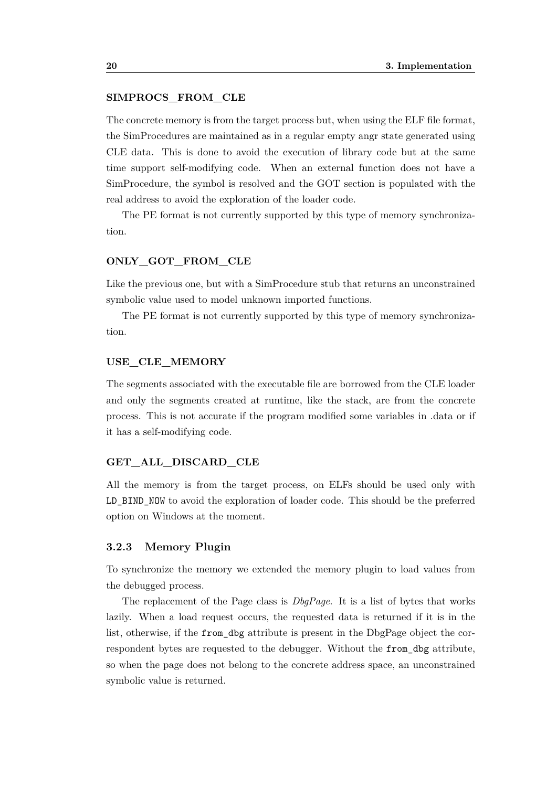#### **SIMPROCS\_FROM\_CLE**

The concrete memory is from the target process but, when using the ELF file format, the SimProcedures are maintained as in a regular empty angr state generated using CLE data. This is done to avoid the execution of library code but at the same time support self-modifying code. When an external function does not have a SimProcedure, the symbol is resolved and the GOT section is populated with the real address to avoid the exploration of the loader code.

The PE format is not currently supported by this type of memory synchronization.

#### **ONLY\_GOT\_FROM\_CLE**

Like the previous one, but with a SimProcedure stub that returns an unconstrained symbolic value used to model unknown imported functions.

The PE format is not currently supported by this type of memory synchronization.

#### **USE\_CLE\_MEMORY**

The segments associated with the executable file are borrowed from the CLE loader and only the segments created at runtime, like the stack, are from the concrete process. This is not accurate if the program modified some variables in .data or if it has a self-modifying code.

#### **GET\_ALL\_DISCARD\_CLE**

All the memory is from the target process, on ELFs should be used only with LD BIND NOW to avoid the exploration of loader code. This should be the preferred option on Windows at the moment.

#### <span id="page-27-0"></span>**3.2.3 Memory Plugin**

To synchronize the memory we extended the memory plugin to load values from the debugged process.

The replacement of the Page class is *DbgPage*. It is a list of bytes that works lazily. When a load request occurs, the requested data is returned if it is in the list, otherwise, if the from\_dbg attribute is present in the DbgPage object the correspondent bytes are requested to the debugger. Without the from\_dbg attribute, so when the page does not belong to the concrete address space, an unconstrained symbolic value is returned.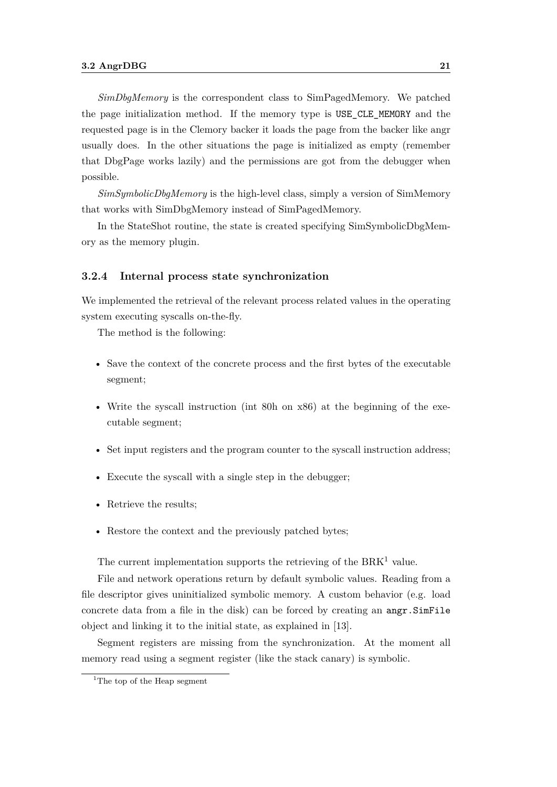*SimDbgMemory* is the correspondent class to SimPagedMemory. We patched the page initialization method. If the memory type is USE\_CLE\_MEMORY and the requested page is in the Clemory backer it loads the page from the backer like angr usually does. In the other situations the page is initialized as empty (remember that DbgPage works lazily) and the permissions are got from the debugger when possible.

*SimSymbolicDbgMemory* is the high-level class, simply a version of SimMemory that works with SimDbgMemory instead of SimPagedMemory.

In the StateShot routine, the state is created specifying SimSymbolicDbgMemory as the memory plugin.

#### <span id="page-28-0"></span>**3.2.4 Internal process state synchronization**

We implemented the retrieval of the relevant process related values in the operating system executing syscalls on-the-fly.

The method is the following:

- Save the context of the concrete process and the first bytes of the executable segment;
- Write the syscall instruction (int 80h on x86) at the beginning of the executable segment;
- Set input registers and the program counter to the syscall instruction address;
- Execute the syscall with a single step in the debugger;
- Retrieve the results;
- Restore the context and the previously patched bytes;

The current implementation supports the retrieving of the  $B\text{R}\text{K}^1$  $B\text{R}\text{K}^1$  value.

File and network operations return by default symbolic values. Reading from a file descriptor gives uninitialized symbolic memory. A custom behavior (e.g. load concrete data from a file in the disk) can be forced by creating an angr.SimFile object and linking it to the initial state, as explained in [\[13\]](#page-47-3).

Segment registers are missing from the synchronization. At the moment all memory read using a segment register (like the stack canary) is symbolic.

<span id="page-28-1"></span><sup>&</sup>lt;sup>1</sup>The top of the Heap segment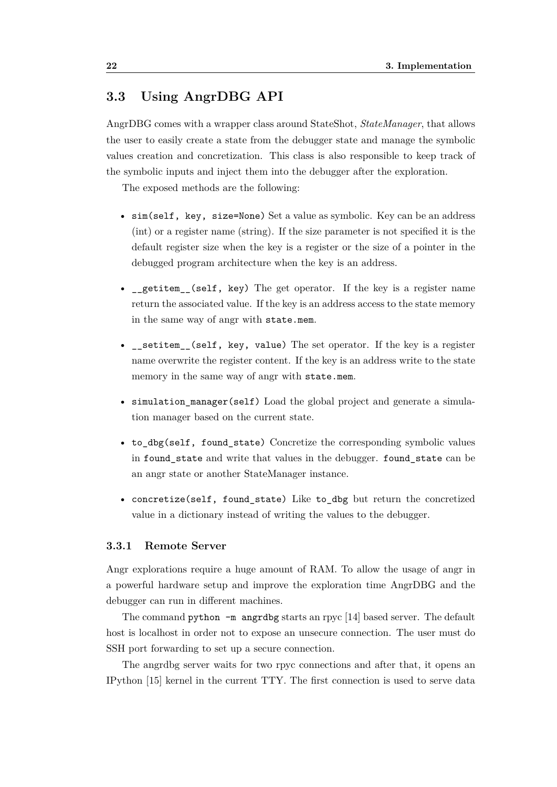## <span id="page-29-0"></span>**3.3 Using AngrDBG API**

AngrDBG comes with a wrapper class around StateShot, *StateManager*, that allows the user to easily create a state from the debugger state and manage the symbolic values creation and concretization. This class is also responsible to keep track of the symbolic inputs and inject them into the debugger after the exploration.

The exposed methods are the following:

- sim(self, key, size=None) Set a value as symbolic. Key can be an address (int) or a register name (string). If the size parameter is not specified it is the default register size when the key is a register or the size of a pointer in the debugged program architecture when the key is an address.
- \_getitem\_(self, key) The get operator. If the key is a register name return the associated value. If the key is an address access to the state memory in the same way of angr with state.mem.
- \_\_setitem\_(self, key, value) The set operator. If the key is a register name overwrite the register content. If the key is an address write to the state memory in the same way of angr with state.mem.
- simulation\_manager(self) Load the global project and generate a simulation manager based on the current state.
- to\_dbg(self, found\_state) Concretize the corresponding symbolic values in found state and write that values in the debugger. found state can be an angr state or another StateManager instance.
- concretize(self, found\_state) Like to\_dbg but return the concretized value in a dictionary instead of writing the values to the debugger.

#### <span id="page-29-1"></span>**3.3.1 Remote Server**

Angr explorations require a huge amount of RAM. To allow the usage of angr in a powerful hardware setup and improve the exploration time AngrDBG and the debugger can run in different machines.

The command python  $-\text{m}$  angrdbg starts an rpyc [\[14\]](#page-47-4) based server. The default host is localhost in order not to expose an unsecure connection. The user must do SSH port forwarding to set up a secure connection.

The angrdbg server waits for two rpyc connections and after that, it opens an IPython [\[15\]](#page-47-5) kernel in the current TTY. The first connection is used to serve data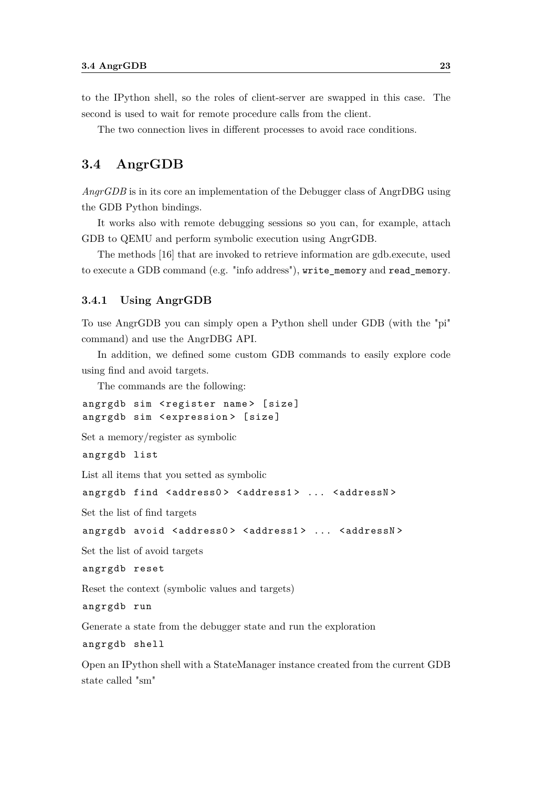to the IPython shell, so the roles of client-server are swapped in this case. The second is used to wait for remote procedure calls from the client.

The two connection lives in different processes to avoid race conditions.

### <span id="page-30-0"></span>**3.4 AngrGDB**

*AngrGDB* is in its core an implementation of the Debugger class of AngrDBG using the GDB Python bindings.

It works also with remote debugging sessions so you can, for example, attach GDB to QEMU and perform symbolic execution using AngrGDB.

The methods [\[16\]](#page-47-6) that are invoked to retrieve information are gdb.execute, used to execute a GDB command (e.g. "info address"), write\_memory and read\_memory.

#### <span id="page-30-1"></span>**3.4.1 Using AngrGDB**

To use AngrGDB you can simply open a Python shell under GDB (with the "pi" command) and use the AngrDBG API.

In addition, we defined some custom GDB commands to easily explore code using find and avoid targets.

The commands are the following:

angrgdb sim < register name> [size] angrgdb sim < expression > [ size ]

Set a memory/register as symbolic

angrgdb list

List all items that you setted as symbolic

angrgdb find < address0 > < address1 > ... < addressN >

Set the list of find targets

```
angrgdb avoid < address0 > < address1 > ... < addressN >
```
Set the list of avoid targets

angrgdb reset

Reset the context (symbolic values and targets)

angrgdb run

Generate a state from the debugger state and run the exploration

angrgdb shell

Open an IPython shell with a StateManager instance created from the current GDB state called "sm"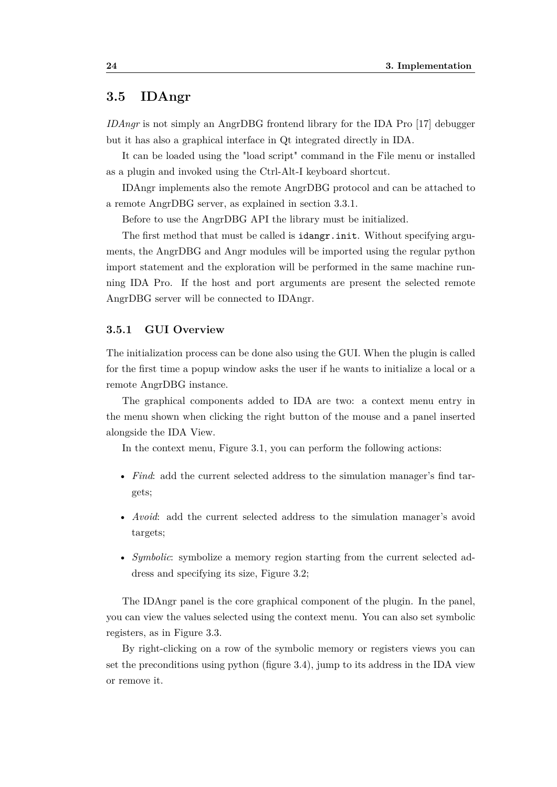## <span id="page-31-0"></span>**3.5 IDAngr**

*IDAngr* is not simply an AngrDBG frontend library for the IDA Pro [\[17\]](#page-47-7) debugger but it has also a graphical interface in Qt integrated directly in IDA.

It can be loaded using the "load script" command in the File menu or installed as a plugin and invoked using the Ctrl-Alt-I keyboard shortcut.

IDAngr implements also the remote AngrDBG protocol and can be attached to a remote AngrDBG server, as explained in section 3.3.1.

Before to use the AngrDBG API the library must be initialized.

The first method that must be called is idangr.init. Without specifying arguments, the AngrDBG and Angr modules will be imported using the regular python import statement and the exploration will be performed in the same machine running IDA Pro. If the host and port arguments are present the selected remote AngrDBG server will be connected to IDAngr.

#### <span id="page-31-1"></span>**3.5.1 GUI Overview**

The initialization process can be done also using the GUI. When the plugin is called for the first time a popup window asks the user if he wants to initialize a local or a remote AngrDBG instance.

The graphical components added to IDA are two: a context menu entry in the menu shown when clicking the right button of the mouse and a panel inserted alongside the IDA View.

In the context menu, Figure [3.1,](#page-32-0) you can perform the following actions:

- *Find*: add the current selected address to the simulation manager's find targets;
- *Avoid*: add the current selected address to the simulation manager's avoid targets;
- *Symbolic*: symbolize a memory region starting from the current selected address and specifying its size, Figure [3.2;](#page-32-0)

The IDAngr panel is the core graphical component of the plugin. In the panel, you can view the values selected using the context menu. You can also set symbolic registers, as in Figure [3.3.](#page-33-0)

By right-clicking on a row of the symbolic memory or registers views you can set the preconditions using python (figure [3.4\)](#page-33-1), jump to its address in the IDA view or remove it.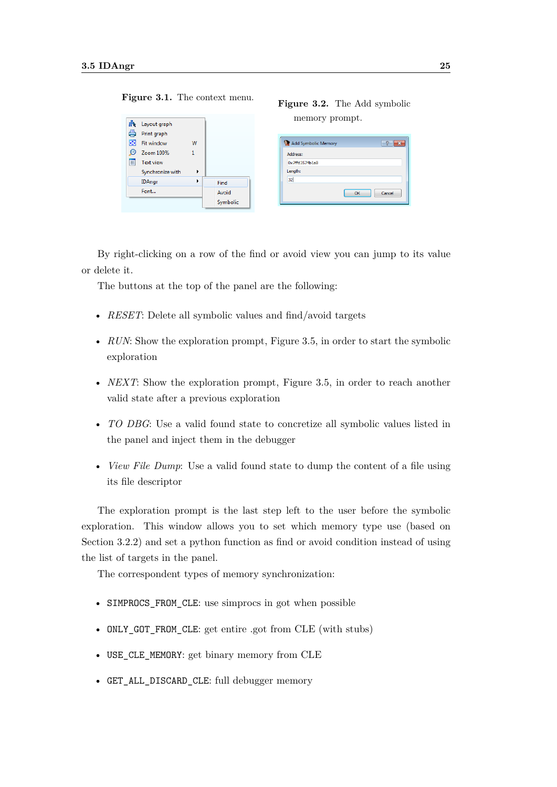| 鼎<br>A | Layout graph              |   |       |
|--------|---------------------------|---|-------|
| 斟      | Print graph<br>Fit window | w |       |
| ω      | Zoom 100%                 |   |       |
| E      | Text view                 |   |       |
|        | Synchronize with          | ١ |       |
|        |                           |   |       |
|        | <b>IDAngr</b>             | k | Find  |
|        | Font                      |   | Avoid |

<span id="page-32-0"></span>**Figure 3.1.** The context menu. **Figure 3.2.** The Add symbolic

## memory prompt.

| Add Symbolic Memory | 7            |
|---------------------|--------------|
| Address:            |              |
| 0x7ffd3574b1a8      |              |
| Length:             |              |
| 32                  |              |
|                     | Cancel<br>OK |

By right-clicking on a row of the find or avoid view you can jump to its value or delete it.

The buttons at the top of the panel are the following:

- *RESET*: Delete all symbolic values and find/avoid targets
- *RUN*: Show the exploration prompt, Figure [3.5,](#page-34-0) in order to start the symbolic exploration
- *NEXT*: Show the exploration prompt, Figure [3.5,](#page-34-0) in order to reach another valid state after a previous exploration
- *TO DBG*: Use a valid found state to concretize all symbolic values listed in the panel and inject them in the debugger
- *View File Dump*: Use a valid found state to dump the content of a file using its file descriptor

The exploration prompt is the last step left to the user before the symbolic exploration. This window allows you to set which memory type use (based on Section [3.2.2\)](#page-26-0) and set a python function as find or avoid condition instead of using the list of targets in the panel.

The correspondent types of memory synchronization:

- SIMPROCS FROM CLE: use simprocs in got when possible
- ONLY\_GOT\_FROM\_CLE: get entire .got from CLE (with stubs)
- USE\_CLE\_MEMORY: get binary memory from CLE
- GET\_ALL\_DISCARD\_CLE: full debugger memory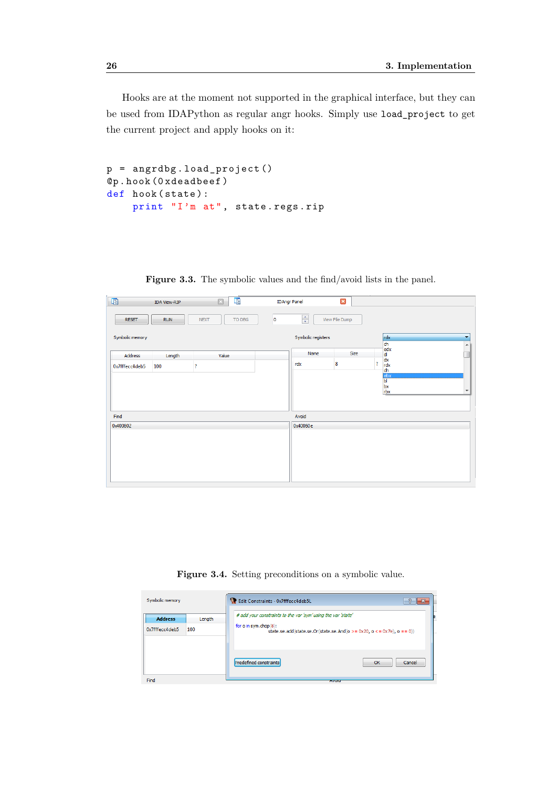Hooks are at the moment not supported in the graphical interface, but they can be used from IDAPython as regular angr hooks. Simply use load\_project to get the current project and apply hooks on it:

```
p = angrdbg . load_project ()
@p . hook (0 xdeadbeef )
def hook (state):
    print "I'm at", state . regs . rip
```
<span id="page-33-0"></span>

| 啯               | <b>IDA View-RIP</b> | IE.<br>$\Box$         |         | <b>IDAngr Panel</b> | $\boldsymbol{\Xi}$ |                                     |                                          |
|-----------------|---------------------|-----------------------|---------|---------------------|--------------------|-------------------------------------|------------------------------------------|
| <b>RESET</b>    | <b>RUN</b>          | <b>NEXT</b><br>TO DBG | $\circ$ | $\div$              | View File Dump     |                                     |                                          |
| Symbolic memory |                     |                       |         | Symbolic registers  |                    | rdx<br>ch                           | $\blacktriangledown$<br>$\blacktriangle$ |
| Address         | Length              | Value                 |         | Name                | Size               | edx<br>dl                           | $\blacksquare$                           |
| 0x7fffecc4deb5  | 100                 | ş.                    |         | rdx                 | 8                  | $\frac{dx}{dx}$<br><sup>2</sup>     |                                          |
|                 |                     |                       |         |                     |                    | dh<br>ebx<br>bl<br>$\frac{bx}{rbx}$ | $\overline{\phantom{a}}$                 |
| Find            |                     |                       |         | Avoid               |                    |                                     |                                          |
| 0x400602        |                     |                       |         | 0x40060e            |                    |                                     |                                          |
|                 |                     |                       |         |                     |                    |                                     |                                          |

Figure 3.3. The symbolic values and the find/avoid lists in the panel.

**Figure 3.4.** Setting preconditions on a symbolic value.

<span id="page-33-1"></span>

| Symbolic memory |        | Edit Constraints - 0x7fffecc4deb5L                            |                                                                                 |
|-----------------|--------|---------------------------------------------------------------|---------------------------------------------------------------------------------|
| <b>Address</b>  | Length | # add your constraints to the var 'sym' using the var 'state' |                                                                                 |
| 0x7fffecc4deb5  | 100    | for o in sym.chop(8):                                         | state.se.add(state.se.Or(state.se.And( $o >= 0x20$ , $o <= 0x7e$ ), $o == 0$ )) |
|                 |        | Predefined constraints                                        | Cancel<br>OK                                                                    |
| Find            |        | <b>AVUIU</b>                                                  |                                                                                 |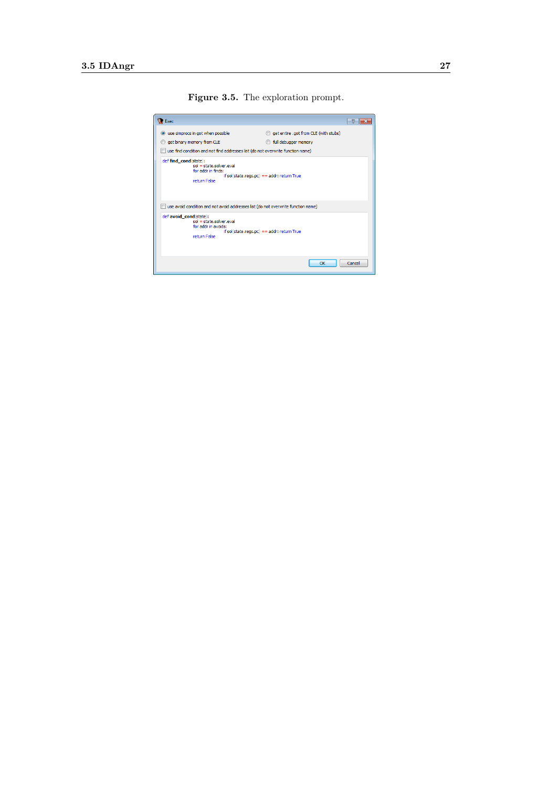**Figure 3.5.** The exploration prompt.

<span id="page-34-0"></span>

| Exec                                                                                                                                          |                                                                                   |        |  |  |  |  |  |  |
|-----------------------------------------------------------------------------------------------------------------------------------------------|-----------------------------------------------------------------------------------|--------|--|--|--|--|--|--|
| use simprocs in got when possible<br>$\circledcirc$<br>get binary memory from CLE                                                             | get entire .got from CLE (with stubs)<br>full debugger memory                     |        |  |  |  |  |  |  |
| use find condition and not find addresses list (do not overwrite function name)                                                               |                                                                                   |        |  |  |  |  |  |  |
| def find cond(state):<br>$sol = state$ , solver, eval<br>for addr in finds:<br>$if sol(state.reads, pc) == addr: return True$<br>return False |                                                                                   |        |  |  |  |  |  |  |
|                                                                                                                                               | use avoid condition and not avoid addresses list (do not overwrite function name) |        |  |  |  |  |  |  |
| def avoid cond(state):<br>$sol = state.solver.eval$<br>for addr in avoids:<br>if sol(state.regs.pc) == addr: return True<br>return False      |                                                                                   |        |  |  |  |  |  |  |
|                                                                                                                                               | OK                                                                                | Cancel |  |  |  |  |  |  |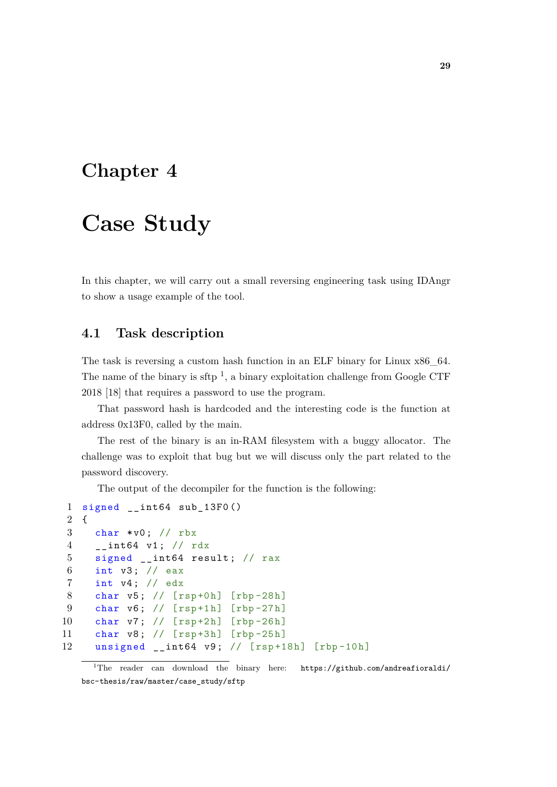## <span id="page-36-0"></span>**Chapter 4**

## **Case Study**

In this chapter, we will carry out a small reversing engineering task using IDAngr to show a usage example of the tool.

## <span id="page-36-1"></span>**4.1 Task description**

The task is reversing a custom hash function in an ELF binary for Linux x86\_64. The name of the binary is sftp<sup>[1](#page-36-2)</sup>, a binary exploitation challenge from Google CTF 2018 [\[18\]](#page-47-8) that requires a password to use the program.

That password hash is hardcoded and the interesting code is the function at address 0x13F0, called by the main.

The rest of the binary is an in-RAM filesystem with a buggy allocator. The challenge was to exploit that bug but we will discuss only the part related to the password discovery.

The output of the decompiler for the function is the following:

```
1 signed __int64 sub_13F0 ()
2 \sqrt{2}3 char *v0; // rbx
4 __int64 v1 ; // rdx
5 signed __int64 result; // rax
6 int v3; // eax
7 int v4; // edx
8 char v5; // [rsp+0h] [rbp-28h]
9 char v6; // [rsp+1h] [rbp-27h]
10 char v7; // [rsp+2h] [rbp-26h]
11 char v8; // [rsp+3h] [rbp-25h]
12 unsigned __int64 v9 ; // [ rsp +18h] [rbp -10h]
```
<span id="page-36-2"></span><sup>&</sup>lt;sup>1</sup>The reader can download the binary here: [https://github.com/andreafioraldi/](https://github.com/andreafioraldi/bsc-thesis/raw/master/case_study/sftp) [bsc-thesis/raw/master/case\\_study/sftp](https://github.com/andreafioraldi/bsc-thesis/raw/master/case_study/sftp)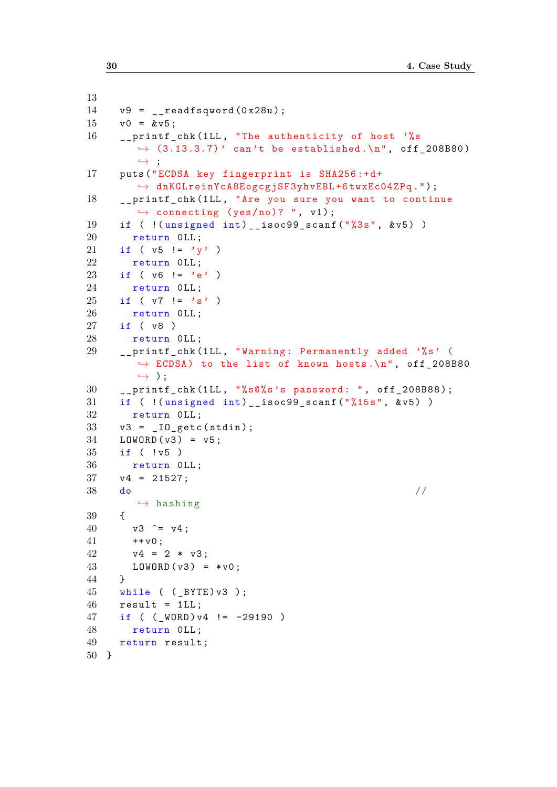```
13
14 \text{ v9} = \text{readfsqword}(0 \times 28u);
15 \text{ v0} = \&v5;16 __printf_chk (1LL, "The authenticity of host '%s
        \rightarrow (3.13.3.7) ' can't be established. \n", off_208B80)
        ,→ ;
17 puts (" ECDSA key fingerprint is SHA256 :+d+
        ,→ dnKGLreinYcA8EogcgjSF3yhvEBL +6 twxEc04ZPq .") ;
18 __printf_chk (1 LL , "Are you sure you want to continue
        \rightarrow connecting (yes/no)? ", v1);
19 if ( !( unsigned int) _ isoc99_scanf ("%3s", &v5) )
20 return OLL;
21 if ( v5 != 'y')
22 return OLL:
23 if ( \nu6 != 'e')
24 return OLL;
25 if ( v7 != 's')
26 return OLL;
27 if ( v8 )
28 return OLL;
29 __printf_chk (1LL, "Warning: Permanently added '%s' (
        \rightarrow ECDSA) to the list of known hosts.\ln", off 208B80
        ,→ ) ;
30 __printf_chk (1LL, "%s@%s's password: ", off_208B88);
31 if ( !(unsigned int)__isoc99_scanf ("%15s", &v5))
32 return OLL;
33 \text{ v3} = \text{10\_getc} \text{ (stdin)};
34 LOWORD (v3) = v5;
35 if ( ! v5 )
36 return OLL;
37 \t v4 = 21527;38 do \frac{1}{2},→ hashing
39 {
40 \text{ v3 }^{\circ} = \text{v4};
41 + v0;42 \t v4 = 2 * v3;43 LOWORD (v3) = *v0;44 }
45 while ( (_BYTE) v3 );
46 result = 1LL;
47 if ( ( WORD ) v4 != -29190 )
48 return OLL:
49 return result ;
50 }
```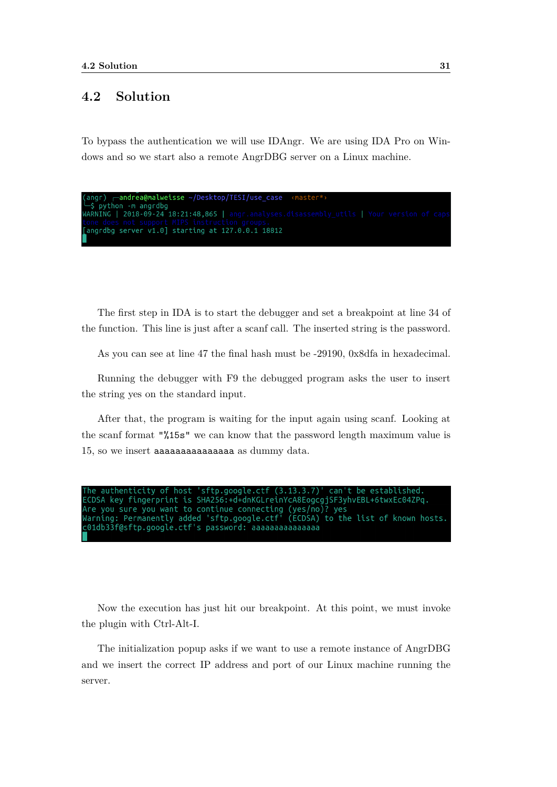## <span id="page-38-0"></span>**4.2 Solution**

To bypass the authentication we will use IDAngr. We are using IDA Pro on Windows and so we start also a remote AngrDBG server on a Linux machine.

```
andrea@malweisse ~/Desktop/TESI/use_case-
   python -m angrdbg
WARNING | 2018-09-24 18:21:48,865 | angr.analyses.disassembly_utils | Your version of cap
angrdbg server v1.0] starting at 127.0.0.1 18812
```
The first step in IDA is to start the debugger and set a breakpoint at line 34 of the function. This line is just after a scanf call. The inserted string is the password.

As you can see at line 47 the final hash must be -29190, 0x8dfa in hexadecimal.

Running the debugger with F9 the debugged program asks the user to insert the string yes on the standard input.

After that, the program is waiting for the input again using scanf. Looking at the scanf format "%15s" we can know that the password length maximum value is 15, so we insert aaaaaaaaaaaaaaa as dummy data.

 $(3.13.3.7)$ sftp.google.ctf 't be established. authenticity of host can' ECDSA key fingerprint is SHA256:+d+dnKGLreinYcA8EogcgjSF3yhvEBL+6twxEc04ZPq. Are you sure you want to continue connecting (yes/no)? yes<br>Warning: Permanently added 'sftp.google.ctf' (ECDSA) to the list of known hosts. c01db33f@sftp.google.ctf's password: aaaaaaaaaaaaaaa

Now the execution has just hit our breakpoint. At this point, we must invoke the plugin with Ctrl-Alt-I.

The initialization popup asks if we want to use a remote instance of AngrDBG and we insert the correct IP address and port of our Linux machine running the server.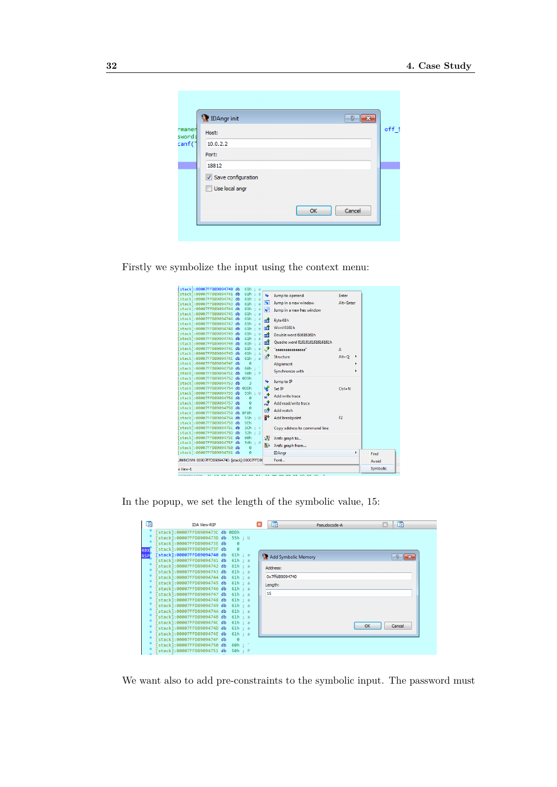|                            | <b>DAngrinit</b><br>8<br>$\overline{\mathbf{x}}$     |       |
|----------------------------|------------------------------------------------------|-------|
| rmanen<br>sword:<br>canf(' | Host:<br>10.0.2.2<br>Port:<br>18812                  | off 5 |
|                            | Save configuration<br>Use local angr<br>Cancel<br>OK |       |
|                            |                                                      |       |

Firstly we symbolize the input using the context menu:

| x View-1 |                                                            |  |                    |                                       |                   |                               |                |   | Symbolic |
|----------|------------------------------------------------------------|--|--------------------|---------------------------------------|-------------------|-------------------------------|----------------|---|----------|
|          | JNKNOWN 00007FFD89094740: [stack]:00007FFD89               |  |                    |                                       |                   | Font                          |                |   | Avoid    |
|          | [stack]:00007FFD89094761 db                                |  | ø                  |                                       |                   | <b>IDAngr</b>                 |                | k | Find     |
|          | [stack]:00007FFD89094760 db                                |  | ø                  |                                       |                   | Xrefs graph from              |                |   |          |
|          | [stack]:00007FFD8909475F db                                |  | 34h : 4            |                                       | 码                 |                               |                |   |          |
|          | [stack]:00007FFD8909475E db                                |  | 90 <sub>h</sub>    |                                       | 78                | Xrefs graph to                |                |   |          |
|          | [stack]:00007FFD8909475C db<br>[stack]:00007FFD8909475D db |  | 3Ch : <<br>32h : 2 |                                       |                   | Copy address to command line  |                |   |          |
|          | [stack]:00007FFD8909475B db                                |  | 9Eh                |                                       |                   |                               |                |   |          |
|          | Stack1:00007FFD8909475A db 55h : U                         |  |                    |                                       | የተ                | Add breakpoint                | F <sub>2</sub> |   |          |
|          | [stack]:00007FFD89094759 db 0F0h                           |  |                    |                                       | بالين             | Add watch                     |                |   |          |
|          | [stack]:00007FFD89094758 db                                |  | ø                  |                                       |                   |                               |                |   |          |
|          | [stack]:00007FFD89094757 db                                |  | ø<br>ø             |                                       | rst               | Add read/write trace          |                |   |          |
|          | [stack]:00007FFD89094755 db<br>[stack]:00007FFD89094756 db |  | 55h : U            |                                       | $w^{\frac{1}{2}}$ | Add write trace               |                |   |          |
|          | [stack]:00007FFD89094754 db 0DDh                           |  |                    |                                       | V                 | Set IP                        | $Ctrl + N$     |   |          |
|          | [stack]:00007FFD89094753 db                                |  | в                  |                                       | پا                | Jump to IP                    |                |   |          |
|          | [stack]:00007FFD89094752 db 0D9h                           |  |                    |                                       |                   |                               |                |   |          |
|          | [stack]:00007FFD89094750 db<br>[stack]:00007FFD89094751 db |  | 60h<br>50h : P     |                                       |                   | Synchronize with              |                |   |          |
|          | [stack]:00007FFD8909474F db                                |  | ø                  |                                       |                   | Alignment                     |                |   |          |
|          | [stack]:00007FFD8909474E db                                |  | 61h : a            |                                       | ГÅР               | Structure                     | $Alt + O$      | ٠ |          |
|          | [stack]:00007FFD8909474D db                                |  | 61h:               | $\overline{a}$                        |                   |                               |                |   |          |
|          | [stack]:00007FFD8909474C db                                |  | $61h$ :            | a                                     | $s^+$             | "aaaaaaaaaaaaaaa"             | A              |   |          |
|          | [stack]:00007FFD8909474A db<br>[stack]:00007FFD8909474B db |  | 61h<br>61h:        | ÷<br>$\overline{a}$<br>$\overline{a}$ | 盡                 | Ouadro word 6161616161616161h |                |   |          |
|          | [stack]:00007FFD89094749 db                                |  | 61h:               | $\overline{a}$                        | 肅                 | Double word 61616161h         |                |   |          |
|          | [stack]:00007FFD89094748 db                                |  | 61h:               | $\overline{a}$                        | 畵                 | Word 6161h                    |                |   |          |
|          | [stack]:00007FFD89094747 db                                |  | 61h:               | a                                     | 霝                 | Byte 61h                      |                |   |          |
|          | [stack]:00007FFD89094746 db                                |  | 61h : a            |                                       |                   |                               |                |   |          |
|          | stack1:00007FFD89094744 db<br>[stack]:00007FFD89094745 db  |  | 61h:<br>61h : a    | -a                                    | Ю                 | Jump in a new hex window      |                |   |          |
|          | [stack]:00007FFD89094743 db                                |  | 61h :              | $\overline{a}$                        | ⋤                 | Jump in a new window          | Alt+Enter      |   |          |
|          | [stack]:00007FFD89094742 db                                |  | 61h:               | $\overline{a}$                        |                   |                               |                |   |          |
|          | [stack]:00007FFD89094741 db                                |  | 61h : a            |                                       | u                 | Jump to operand               | <b>Enter</b>   |   |          |
|          | [stack]:00007FFD89094740 db                                |  | 61h : a            |                                       |                   |                               |                |   |          |

In the popup, we set the length of the symbolic value, 15:

| 咱                        | <b><i>IDA View-RIP</i></b>                                                                                                     | 啯<br>啯<br>E<br>Pseudocode-A  |
|--------------------------|--------------------------------------------------------------------------------------------------------------------------------|------------------------------|
|                          | stack]:00007FFD8909473C db 0DDh<br>stack]:00007FFD8909473D db<br>55h : U<br>stack]:00007FFD8909473E db<br>$\alpha$             |                              |
| <b>RBX</b><br><b>RSP</b> | stack]:00007FFD8909473F db<br>$\alpha$<br>[stack]:00007FFD89094740 db<br>61h : a                                               | Add Symbolic Memory<br>$-23$ |
|                          | stack]:00007FFD89094741 db<br>61h : a<br>stack]:00007FFD89094742 db<br>61h : a<br>stack]:00007FFD89094743 db<br>61h<br>$\pm$ a | Address:                     |
|                          | stack]:00007FFD89094744 db<br>61h : a<br>stack]:00007FFD89094745 db<br>61h : a                                                 | 0x7ffd89094740<br>Length:    |
|                          | stack]:00007FFD89094746 db<br>61h : a<br>stack]:00007FFD89094747 db<br>61h : a<br>stack]:00007FFD89094748 db<br>61h : a        | 15                           |
|                          | stack]:00007FFD89094749 db<br>61h : a<br>stack]:00007FFD8909474A db<br>61h : a                                                 |                              |
|                          | stack]:00007FFD8909474B db<br>61h : a<br>stack]:00007FFD8909474C db<br>61h : a<br>stack]:00007FFD8909474D db<br>61h<br>$\pm$ a | OK<br>Cancel                 |
|                          | stack]:00007FFD8909474E db<br>61h<br>$\therefore$ a<br>stack]:00007FFD8909474F db<br>$\alpha$                                  |                              |
|                          | stack]:00007FFD89094750 db<br>60h :<br>stack]:00007FFD89094751 db<br>50h : P                                                   |                              |

We want also to add pre-constraints to the symbolic input. The password must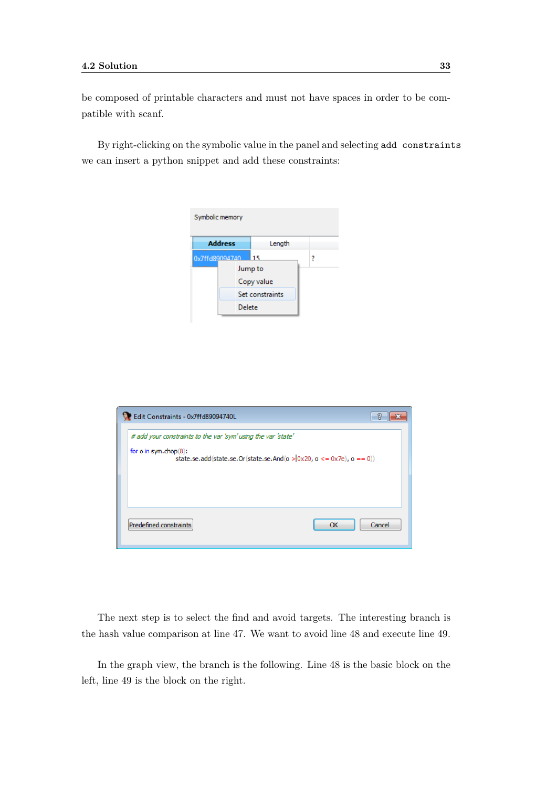be composed of printable characters and must not have spaces in order to be compatible with scanf.

By right-clicking on the symbolic value in the panel and selecting add constraints we can insert a python snippet and add these constraints:

| Symbolic memory |                          |                 |   |  |  |  |  |  |
|-----------------|--------------------------|-----------------|---|--|--|--|--|--|
|                 | <b>Address</b><br>Length |                 |   |  |  |  |  |  |
| 0x7ffd89094740  |                          | 115             | ? |  |  |  |  |  |
|                 |                          | Jump to         |   |  |  |  |  |  |
|                 |                          | Copy value      |   |  |  |  |  |  |
|                 |                          | Set constraints |   |  |  |  |  |  |
|                 | Delete                   |                 |   |  |  |  |  |  |

| Edit Constraints - 0x7ffd89094740L                            |                                                                                  |
|---------------------------------------------------------------|----------------------------------------------------------------------------------|
| # add your constraints to the var 'sym' using the var 'state' |                                                                                  |
| for o in sym.chop(8):                                         | state.se.add(state.se.Or(state.se.And( $o > 0x20$ , $o < = 0x7e$ ), $o = = 0$ )) |
|                                                               |                                                                                  |
| Predefined constraints                                        | Cancel<br>OK                                                                     |

The next step is to select the find and avoid targets. The interesting branch is the hash value comparison at line 47. We want to avoid line 48 and execute line 49.

In the graph view, the branch is the following. Line 48 is the basic block on the left, line 49 is the block on the right.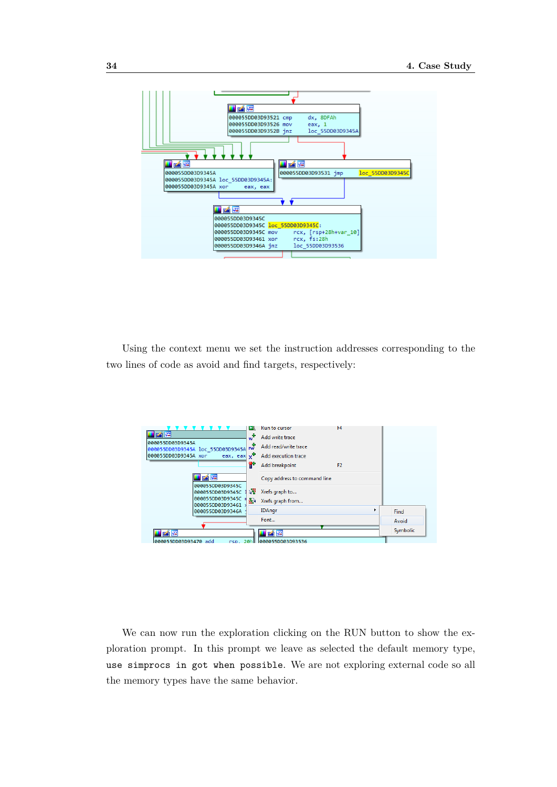

Using the context menu we set the instruction addresses corresponding to the two lines of code as avoid and find targets, respectively:



We can now run the exploration clicking on the RUN button to show the exploration prompt. In this prompt we leave as selected the default memory type, use simprocs in got when possible. We are not exploring external code so all the memory types have the same behavior.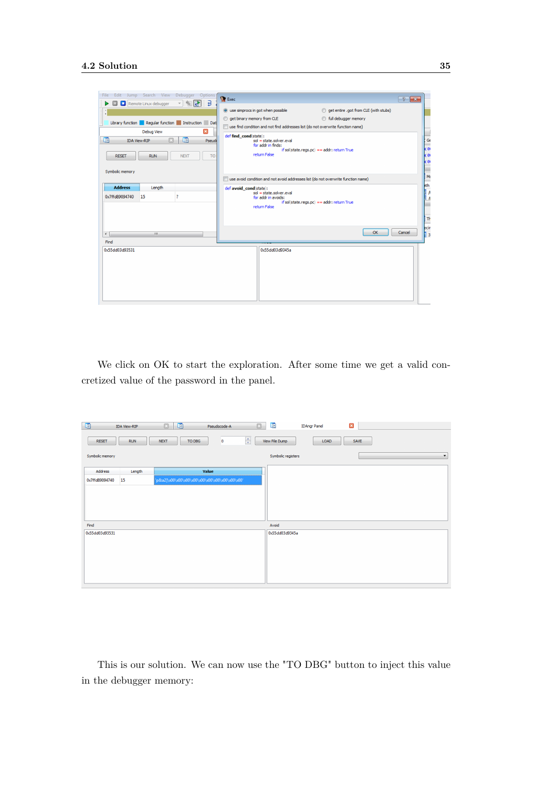

We click on OK to start the exploration. After some time we get a valid concretized value of the password in the panel.

| 啯               | <b>IDA View-RIP</b> | 啯<br>$\square$        | Pseudocode-A | $\boxdot$                 | la.                | <b>IDAngr Panel</b> | $\boldsymbol{\Xi}$ |   |
|-----------------|---------------------|-----------------------|--------------|---------------------------|--------------------|---------------------|--------------------|---|
| <b>RESET</b>    | <b>RUN</b>          | TO DBG<br><b>NEXT</b> | o            | $\frac{\bullet}{\bullet}$ | View File Dump     | LOAD                | SAVE               |   |
| Symbolic memory |                     |                       |              |                           | Symbolic registers |                     |                    | ▾ |
| Address         | Value<br>Length     |                       |              |                           |                    |                     |                    |   |
| 0x7ffd89094740  | 15                  |                       |              |                           |                    |                     |                    |   |
|                 |                     |                       |              |                           |                    |                     |                    |   |
|                 |                     |                       |              |                           |                    |                     |                    |   |
|                 |                     |                       |              |                           |                    |                     |                    |   |
| Find            |                     |                       |              |                           | Avoid              |                     |                    |   |
| 0x55dd03d93531  |                     |                       |              |                           | 0x55dd03d9345a     |                     |                    |   |
|                 |                     |                       |              |                           |                    |                     |                    |   |
|                 |                     |                       |              |                           |                    |                     |                    |   |
|                 |                     |                       |              |                           |                    |                     |                    |   |
|                 |                     |                       |              |                           |                    |                     |                    |   |
|                 |                     |                       |              |                           |                    |                     |                    |   |

This is our solution. We can now use the "TO DBG" button to inject this value in the debugger memory: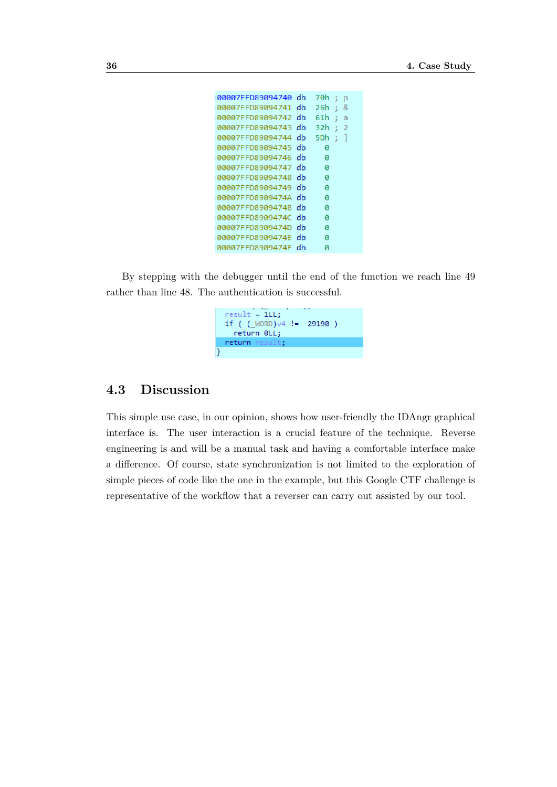```
:00007FFD89094740 db
                      70h; p
00007FFD89094741 db
                      26h; &
00007FFD89094742 db
                     61h ; a
00007FFD89094743 db
                      32h ; 2
00007FFD89094744 db
                      5Dh; ]00007FFD89094745 db
                        \theta00007FFD89094746 db
                        ø
00007FFD89094747 db
                        ø
                        \theta00007FFD89094748 db
00007FFD89094749 db
                        \alpha00007FFD8909474A db
                        \theta00007FFD8909474B db
                        ø
00007FFD8909474C db
                        ø
00007FFD8909474D db
                        0
00007FFD8909474E db
                        \theta00007FFD8909474F db
                        ø
```
By stepping with the debugger until the end of the function we reach line 49 rather than line 48. The authentication is successful.



### <span id="page-43-0"></span>**4.3 Discussion**

This simple use case, in our opinion, shows how user-friendly the IDAngr graphical interface is. The user interaction is a crucial feature of the technique. Reverse engineering is and will be a manual task and having a comfortable interface make a difference. Of course, state synchronization is not limited to the exploration of simple pieces of code like the one in the example, but this Google CTF challenge is representative of the workflow that a reverser can carry out assisted by our tool.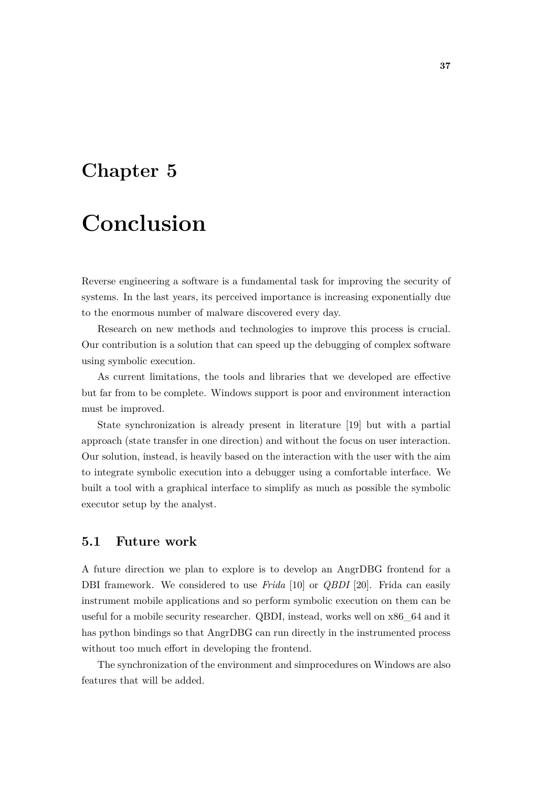## <span id="page-44-0"></span>**Chapter 5**

# **Conclusion**

Reverse engineering a software is a fundamental task for improving the security of systems. In the last years, its perceived importance is increasing exponentially due to the enormous number of malware discovered every day.

Research on new methods and technologies to improve this process is crucial. Our contribution is a solution that can speed up the debugging of complex software using symbolic execution.

As current limitations, the tools and libraries that we developed are effective but far from to be complete. Windows support is poor and environment interaction must be improved.

State synchronization is already present in literature [\[19\]](#page-47-9) but with a partial approach (state transfer in one direction) and without the focus on user interaction. Our solution, instead, is heavily based on the interaction with the user with the aim to integrate symbolic execution into a debugger using a comfortable interface. We built a tool with a graphical interface to simplify as much as possible the symbolic executor setup by the analyst.

## <span id="page-44-1"></span>**5.1 Future work**

A future direction we plan to explore is to develop an AngrDBG frontend for a DBI framework. We considered to use *Frida* [\[10\]](#page-47-0) or *QBDI* [\[20\]](#page-47-10). Frida can easily instrument mobile applications and so perform symbolic execution on them can be useful for a mobile security researcher. QBDI, instead, works well on x86\_64 and it has python bindings so that AngrDBG can run directly in the instrumented process without too much effort in developing the frontend.

The synchronization of the environment and simprocedures on Windows are also features that will be added.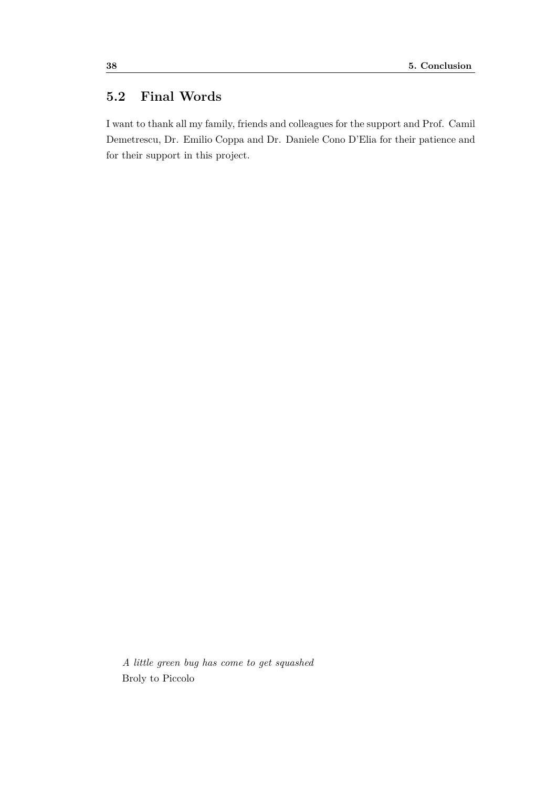## <span id="page-45-0"></span>**5.2 Final Words**

I want to thank all my family, friends and colleagues for the support and Prof. Camil Demetrescu, Dr. Emilio Coppa and Dr. Daniele Cono D'Elia for their patience and for their support in this project.

*A little green bug has come to get squashed* Broly to Piccolo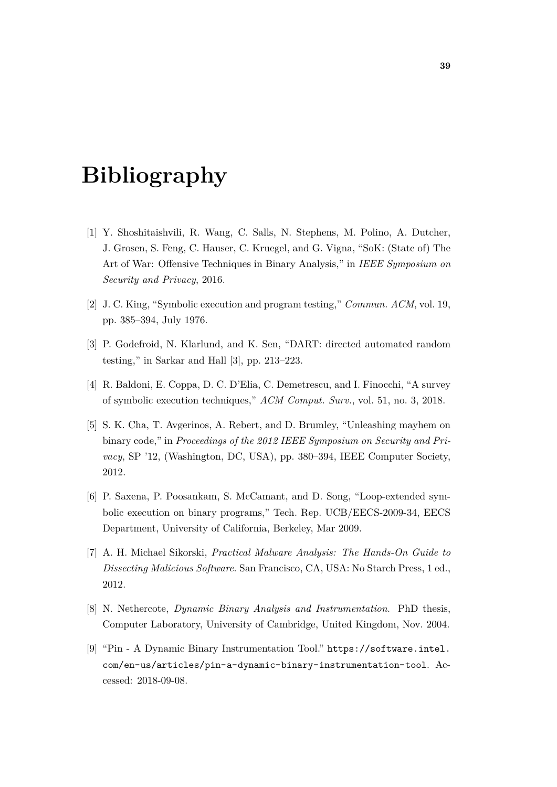# **Bibliography**

- <span id="page-46-0"></span>[1] Y. Shoshitaishvili, R. Wang, C. Salls, N. Stephens, M. Polino, A. Dutcher, J. Grosen, S. Feng, C. Hauser, C. Kruegel, and G. Vigna, "SoK: (State of) The Art of War: Offensive Techniques in Binary Analysis," in *IEEE Symposium on Security and Privacy*, 2016.
- <span id="page-46-1"></span>[2] J. C. King, "Symbolic execution and program testing," *Commun. ACM*, vol. 19, pp. 385–394, July 1976.
- <span id="page-46-2"></span>[3] P. Godefroid, N. Klarlund, and K. Sen, "DART: directed automated random testing," in Sarkar and Hall [\[3\]](#page-46-2), pp. 213–223.
- <span id="page-46-3"></span>[4] R. Baldoni, E. Coppa, D. C. D'Elia, C. Demetrescu, and I. Finocchi, "A survey of symbolic execution techniques," *ACM Comput. Surv.*, vol. 51, no. 3, 2018.
- <span id="page-46-4"></span>[5] S. K. Cha, T. Avgerinos, A. Rebert, and D. Brumley, "Unleashing mayhem on binary code," in *Proceedings of the 2012 IEEE Symposium on Security and Privacy*, SP '12, (Washington, DC, USA), pp. 380–394, IEEE Computer Society, 2012.
- <span id="page-46-5"></span>[6] P. Saxena, P. Poosankam, S. McCamant, and D. Song, "Loop-extended symbolic execution on binary programs," Tech. Rep. UCB/EECS-2009-34, EECS Department, University of California, Berkeley, Mar 2009.
- <span id="page-46-6"></span>[7] A. H. Michael Sikorski, *Practical Malware Analysis: The Hands-On Guide to Dissecting Malicious Software*. San Francisco, CA, USA: No Starch Press, 1 ed., 2012.
- <span id="page-46-8"></span>[8] N. Nethercote, *Dynamic Binary Analysis and Instrumentation*. PhD thesis, Computer Laboratory, University of Cambridge, United Kingdom, Nov. 2004.
- <span id="page-46-7"></span>[9] "Pin - A Dynamic Binary Instrumentation Tool." [https://software.intel.](https://software.intel.com/en-us/articles/pin-a-dynamic-binary-instrumentation-tool) [com/en-us/articles/pin-a-dynamic-binary-instrumentation-tool](https://software.intel.com/en-us/articles/pin-a-dynamic-binary-instrumentation-tool). Accessed: 2018-09-08.